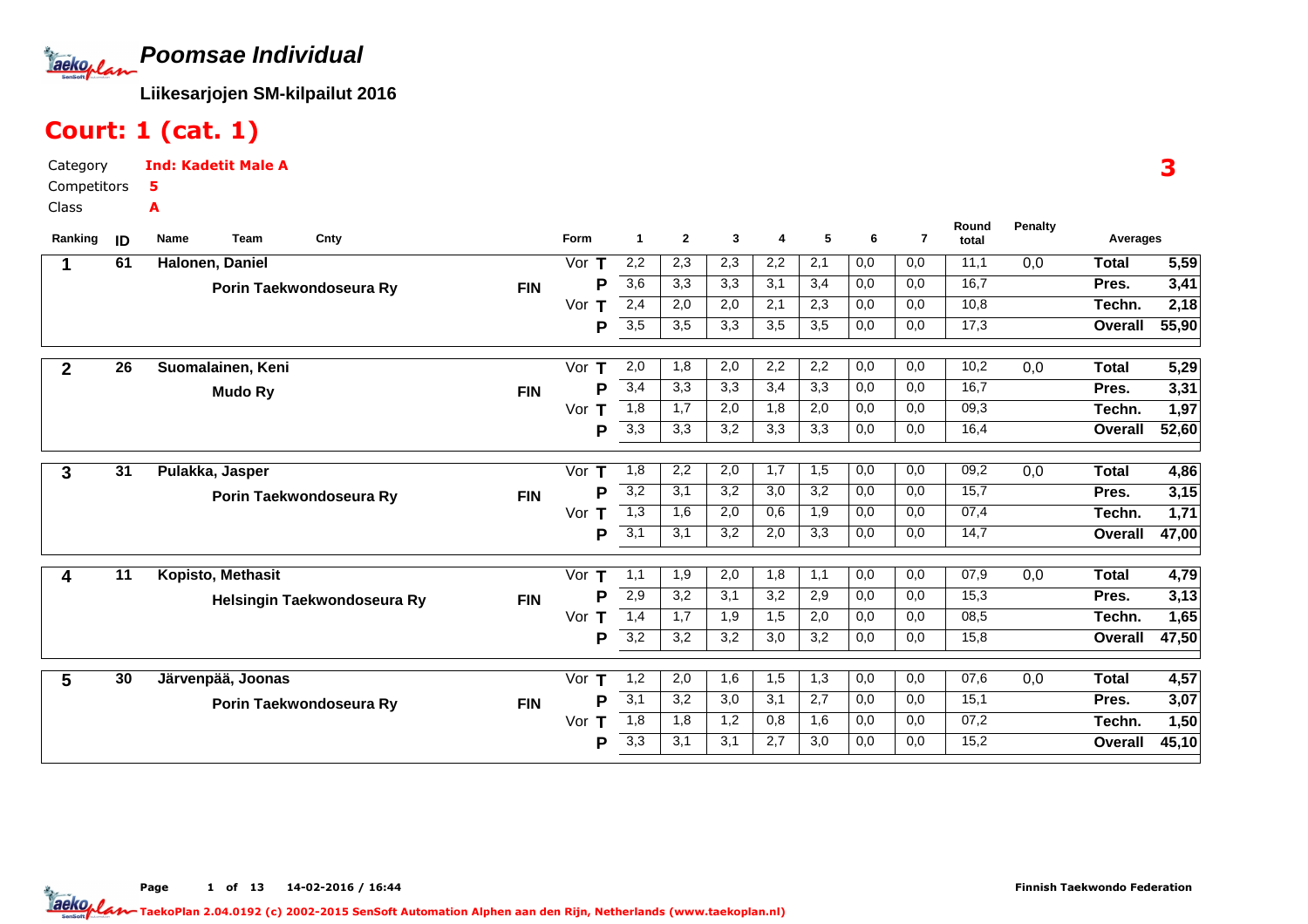**Poomsae Individual**Taekoplan

**Liikesarjojen SM-kilpailut 2016**

### Court: 1 (cat. 1)

Category CompetitorsClassInd: Kadetit Male A5A

| Ranking      | ID              | Name<br><b>Team</b><br>Cnty |            | Form     | 1                | $\mathbf{2}$ | 3   | 4   | 5                | 6   | $\overline{7}$ | Round<br>total | <b>Penalty</b> | Averages     |       |  |
|--------------|-----------------|-----------------------------|------------|----------|------------------|--------------|-----|-----|------------------|-----|----------------|----------------|----------------|--------------|-------|--|
|              | 61              | Halonen, Daniel             |            | Vor $T$  | 2,2              | 2,3          | 2,3 | 2,2 | 2,1              | 0,0 | 0,0            | 11,1           | 0,0            | <b>Total</b> | 5,59  |  |
|              |                 | Porin Taekwondoseura Ry     | <b>FIN</b> | P        | $\overline{3,6}$ | 3,3          | 3,3 | 3,1 | 3,4              | 0,0 | 0,0            | 16,7           |                | Pres.        | 3,41  |  |
|              |                 |                             |            | Vor<br>т | 2,4              | 2,0          | 2,0 | 2,1 | 2,3              | 0,0 | 0,0            | 10,8           |                | Techn.       | 2,18  |  |
|              |                 |                             |            | P        | 3,5              | 3,5          | 3,3 | 3,5 | 3,5              | 0,0 | 0,0            | 17,3           |                | Overall      | 55,90 |  |
| $\mathbf{2}$ | $\overline{26}$ | Suomalainen, Keni           |            | Vor $T$  | 2,0              | 1,8          | 2,0 | 2,2 | 2,2              | 0,0 | 0,0            | 10,2           | 0,0            | Total        | 5,29  |  |
|              |                 | <b>Mudo Ry</b>              | <b>FIN</b> | P        | 3,4              | 3,3          | 3,3 | 3,4 | 3,3              | 0,0 | 0,0            | 16,7           |                | Pres.        | 3,31  |  |
|              |                 |                             |            | Vor<br>т | 1,8              | 1,7          | 2,0 | 1,8 | 2,0              | 0,0 | 0,0            | 09,3           |                | Techn.       | 1,97  |  |
|              |                 |                             |            | P        | 3,3              | 3,3          | 3,2 | 3,3 | 3,3              | 0,0 | 0,0            | 16,4           |                | Overall      | 52,60 |  |
|              |                 |                             |            |          |                  |              |     |     |                  |     |                |                |                |              |       |  |
| 3            | 31              | Pulakka, Jasper             |            | Vor T    | 1,8              | 2,2          | 2,0 | 1,7 | 1,5              | 0,0 | 0,0            | 09,2           | 0,0            | <b>Total</b> | 4,86  |  |
|              |                 | Porin Taekwondoseura Ry     | <b>FIN</b> | P        | 3,2              | 3,1          | 3,2 | 3,0 | 3,2              | 0,0 | 0,0            | 15,7           |                | Pres.        | 3,15  |  |
|              |                 |                             |            | Vor T    | 1,3              | 1,6          | 2,0 | 0,6 | 1,9              | 0,0 | 0,0            | 07,4           |                | Techn.       | 1,71  |  |
|              |                 |                             |            | P        | 3,1              | 3,1          | 3,2 | 2,0 | 3,3              | 0,0 | 0,0            | 14,7           |                | Overall      | 47,00 |  |
| 4            | 11              | Kopisto, Methasit           |            | Vor $T$  | 1,1              | 1,9          | 2,0 | 1,8 | $\overline{1,1}$ | 0,0 | 0,0            | 07,9           | 0,0            | <b>Total</b> | 4,79  |  |
|              |                 | Helsingin Taekwondoseura Ry | <b>FIN</b> | P        | 2,9              | 3,2          | 3,1 | 3,2 | 2,9              | 0,0 | 0,0            | 15,3           |                | Pres.        | 3,13  |  |
|              |                 |                             |            | Vor<br>Т | 1,4              | 1,7          | 1,9 | 1,5 | 2,0              | 0,0 | 0,0            | 08,5           |                | Techn.       | 1,65  |  |
|              |                 |                             |            | P        | 3,2              | 3,2          | 3,2 | 3,0 | 3,2              | 0,0 | 0,0            | 15,8           |                | Overall      | 47,50 |  |
|              |                 |                             |            |          |                  |              |     |     |                  |     |                |                |                |              |       |  |
| 5            | 30              | Järvenpää, Joonas           |            | Vor $T$  | 1,2              | 2,0          | 1,6 | 1,5 | 1,3              | 0,0 | 0,0            | 07,6           | 0,0            | Total        | 4,57  |  |
|              |                 | Porin Taekwondoseura Ry     | <b>FIN</b> | P        | 3,1              | 3,2          | 3,0 | 3,1 | 2,7              | 0,0 | 0,0            | 15,1           |                | Pres.        | 3,07  |  |
|              |                 |                             |            | Vor<br>т | 1,8              | 1,8          | 1,2 | 0,8 | 1,6              | 0,0 | 0,0            | 07,2           |                | Techn.       | 1,50  |  |
|              |                 |                             |            | Р        | 3,3              | 3,1          | 3,1 | 2,7 | 3,0              | 0,0 | 0,0            | 15,2           |                | Overall      | 45,10 |  |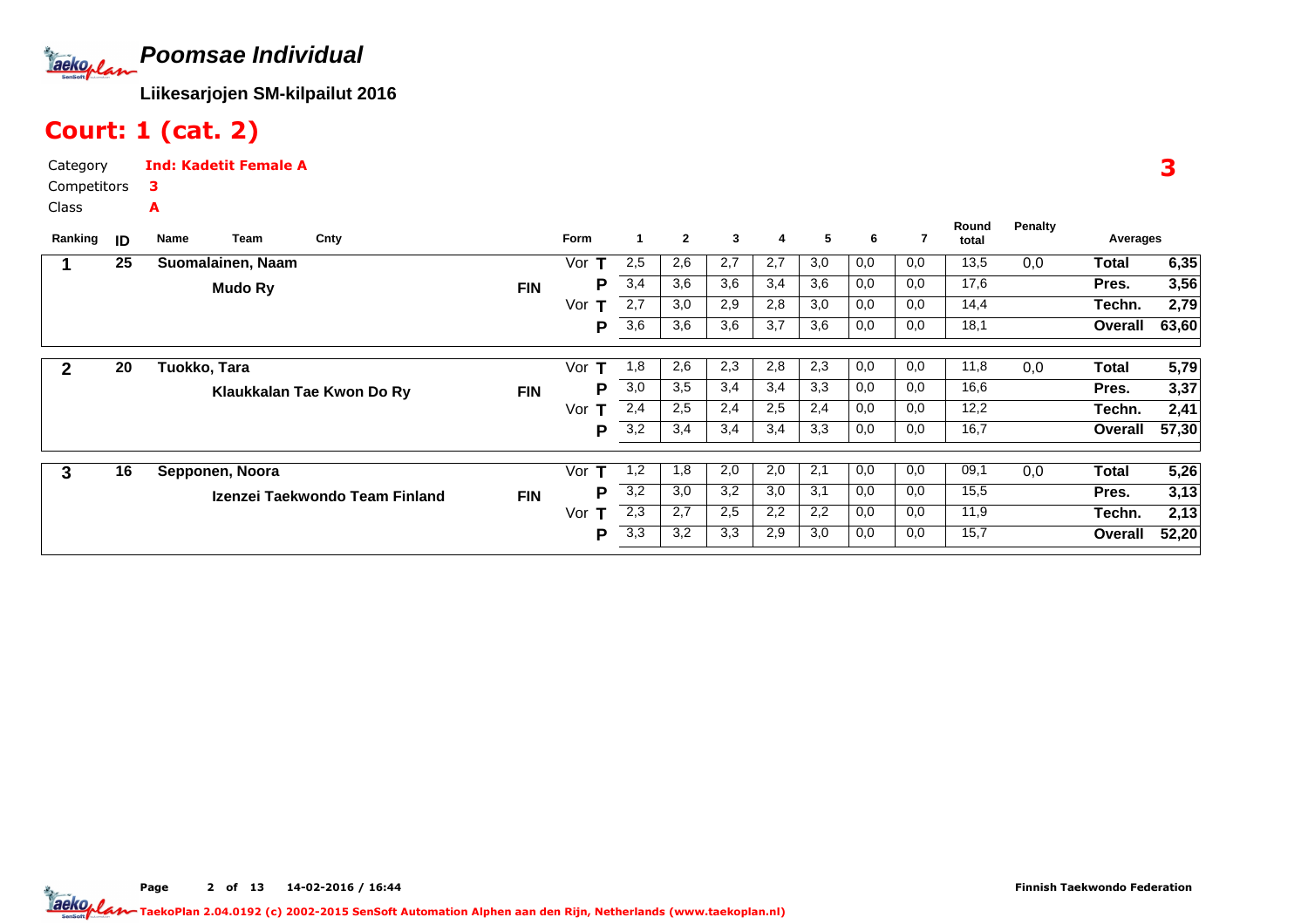

### Court: 1 (cat. 2)

Category Competitors $\overline{C}$ Ind: Kadetit Female A3A

| Class |  |
|-------|--|
|       |  |

| Ranking | ID | Team<br>Name      | Cnty                           |            | <b>Form</b> | 1                | $\mathbf{2}$ | 3   | 4   | 5   | 6   | 7   | Round<br>total | <b>Penalty</b> | Averages |       |
|---------|----|-------------------|--------------------------------|------------|-------------|------------------|--------------|-----|-----|-----|-----|-----|----------------|----------------|----------|-------|
|         |    |                   |                                |            |             |                  |              |     |     |     |     |     |                |                |          |       |
|         | 25 | Suomalainen, Naam |                                |            | Vor         | 2,5              | 2,6          | 2,7 | 2,7 | 3,0 | 0,0 | 0,0 | 13,5           | 0,0            | Total    | 6,35  |
|         |    | <b>Mudo Ry</b>    |                                | <b>FIN</b> | Р           | 3,4              | 3,6          | 3,6 | 3,4 | 3,6 | 0,0 | 0,0 | 17,6           |                | Pres.    | 3,56  |
|         |    |                   |                                |            | Vor<br>т    | 2,7              | 3,0          | 2,9 | 2,8 | 3,0 | 0,0 | 0,0 | 14,4           |                | Techn.   | 2,79  |
|         |    |                   |                                |            | P           | 3,6              | 3,6          | 3,6 | 3,7 | 3,6 | 0,0 | 0,0 | 18,1           |                | Overall  | 63,60 |
|         |    |                   |                                |            |             |                  |              |     |     |     |     |     |                |                |          |       |
| 2       | 20 | Tuokko, Tara      |                                |            | Vor<br>т    | 1,8              | 2,6          | 2,3 | 2,8 | 2,3 | 0,0 | 0,0 | 11,8           | 0,0            | Total    | 5,79  |
|         |    |                   | Klaukkalan Tae Kwon Do Ry      | <b>FIN</b> | Р           | 3,0              | 3,5          | 3,4 | 3,4 | 3,3 | 0,0 | 0,0 | 16,6           |                | Pres.    | 3,37  |
|         |    |                   |                                |            | Vor<br>т    | 2,4              | 2,5          | 2,4 | 2,5 | 2,4 | 0,0 | 0,0 | 12,2           |                | Techn.   | 2,41  |
|         |    |                   |                                |            | P           | 3,2              | 3,4          | 3,4 | 3,4 | 3,3 | 0,0 | 0,0 | 16,7           |                | Overall  | 57,30 |
|         |    |                   |                                |            |             |                  |              |     |     |     |     |     |                |                |          |       |
| 3       | 16 | Sepponen, Noora   |                                |            | Vor<br>т    | 1,2              | 1,8          | 2,0 | 2,0 | 2,1 | 0,0 | 0,0 | 09,1           | 0,0            | Total    | 5,26  |
|         |    |                   | Izenzei Taekwondo Team Finland | <b>FIN</b> | Р           | $\overline{3,2}$ | 3,0          | 3,2 | 3,0 | 3,1 | 0,0 | 0,0 | 15,5           |                | Pres.    | 3,13  |
|         |    |                   |                                |            | Vor<br>т    | 2,3              | 2,7          | 2,5 | 2,2 | 2,2 | 0,0 | 0,0 | 11,9           |                | Techn.   | 2,13  |
|         |    |                   |                                |            | P           | 3,3              | 3,2          | 3,3 | 2,9 | 3,0 | 0,0 | 0,0 | 15,7           |                | Overall  | 52,20 |
|         |    |                   |                                |            |             |                  |              |     |     |     |     |     |                |                |          |       |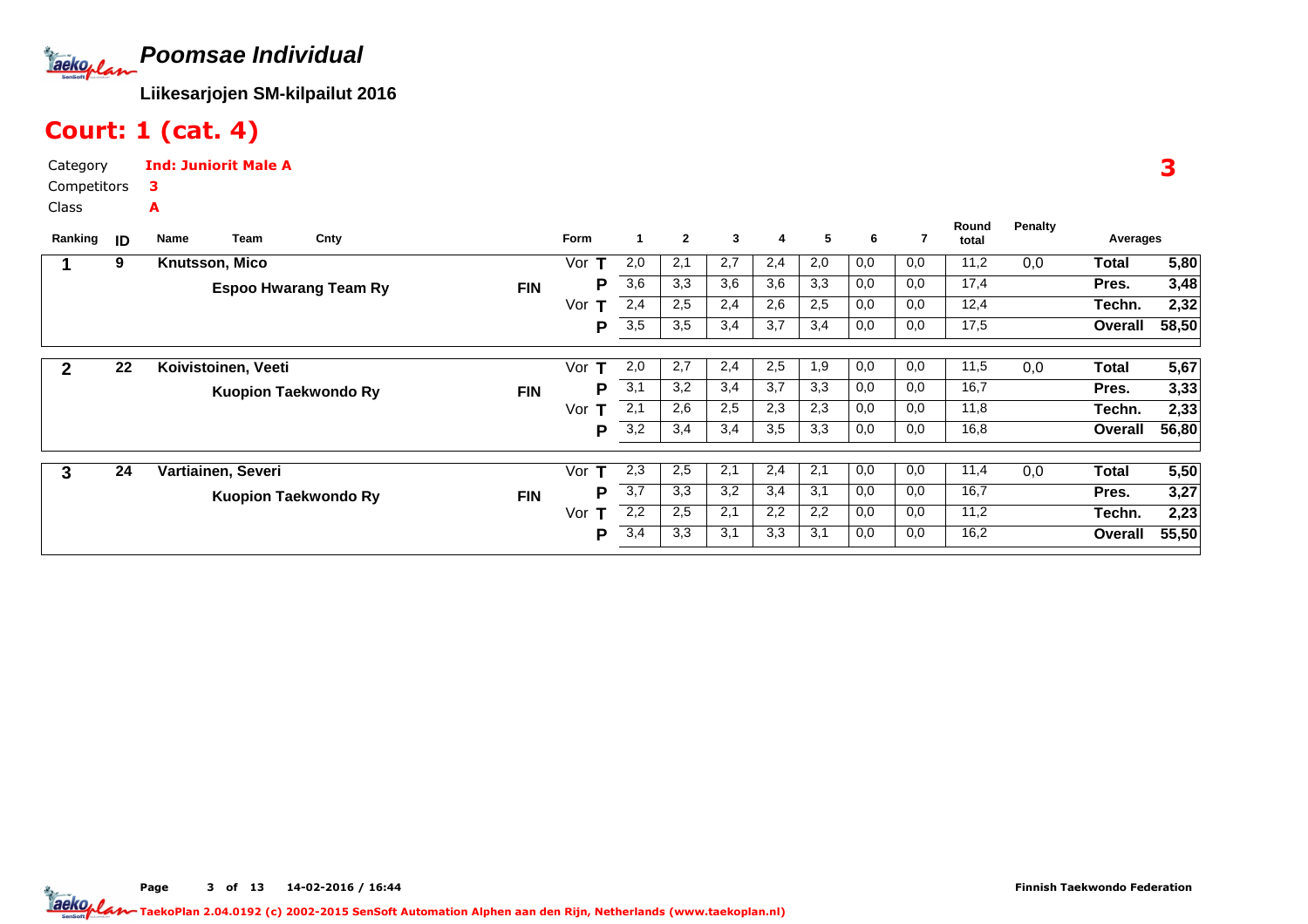

## Court: 1 (cat. 4)

Category CompetitorsClassInd: Juniorit Male A3A

| Ranking      | ID | Team<br>Name        | Cnty                         |            | Form     | $\mathbf 1$ | $\mathbf{2}$ | 3   | 4   | 5   | 6   | 7   | Round<br>total | <b>Penalty</b> | Averages |       |
|--------------|----|---------------------|------------------------------|------------|----------|-------------|--------------|-----|-----|-----|-----|-----|----------------|----------------|----------|-------|
|              | 9  | Knutsson, Mico      |                              |            | Vor      | 2,0         | 2,1          | 2,7 | 2,4 | 2,0 | 0,0 | 0,0 | 11,2           | 0,0            | Total    | 5,80  |
|              |    |                     | <b>Espoo Hwarang Team Ry</b> | <b>FIN</b> | Р        | 3,6         | 3,3          | 3,6 | 3,6 | 3,3 | 0,0 | 0,0 | 17,4           |                | Pres.    | 3,48  |
|              |    |                     |                              |            | Vor<br>т | 2,4         | 2,5          | 2,4 | 2,6 | 2,5 | 0,0 | 0,0 | 12,4           |                | Techn.   | 2,32  |
|              |    |                     |                              |            | P        | 3,5         | 3,5          | 3,4 | 3,7 | 3,4 | 0,0 | 0,0 | 17,5           |                | Overall  | 58,50 |
| $\mathbf{2}$ | 22 | Koivistoinen, Veeti |                              |            | Vor<br>т | 2,0         | 2,7          | 2,4 | 2,5 | 1,9 | 0,0 | 0,0 | 11,5           | 0,0            | Total    | 5,67  |
|              |    |                     |                              |            | Р        | 3,1         | 3,2          | 3,4 | 3,7 | 3,3 | 0,0 | 0,0 | 16,7           |                | Pres.    | 3,33  |
|              |    |                     | <b>Kuopion Taekwondo Ry</b>  | <b>FIN</b> |          |             |              |     |     |     |     |     |                |                |          |       |
|              |    |                     |                              |            | Vor      | 2,1         | 2,6          | 2,5 | 2,3 | 2,3 | 0,0 | 0,0 | 11,8           |                | Techn.   | 2,33  |
|              |    |                     |                              |            | Р        | 3,2         | 3,4          | 3,4 | 3,5 | 3,3 | 0,0 | 0,0 | 16,8           |                | Overall  | 56,80 |
|              |    |                     |                              |            |          |             |              |     |     |     |     |     |                |                |          |       |
| 3            | 24 | Vartiainen, Severi  |                              |            | Vor<br>т | 2,3         | 2,5          | 2,1 | 2,4 | 2,1 | 0,0 | 0,0 | 11,4           | 0,0            | Total    | 5,50  |
|              |    |                     | <b>Kuopion Taekwondo Ry</b>  | <b>FIN</b> | Р        | 3,7         | 3,3          | 3,2 | 3,4 | 3,1 | 0,0 | 0,0 | 16,7           |                | Pres.    | 3,27  |
|              |    |                     |                              |            | Vor      | 2,2         | 2,5          | 2,1 | 2,2 | 2,2 | 0,0 | 0,0 | 11,2           |                | Techn.   | 2,23  |
|              |    |                     |                              |            | P        | 3,4         | 3,3          | 3,1 | 3,3 | 3,1 | 0,0 | 0,0 | 16,2           |                | Overall  | 55,50 |

3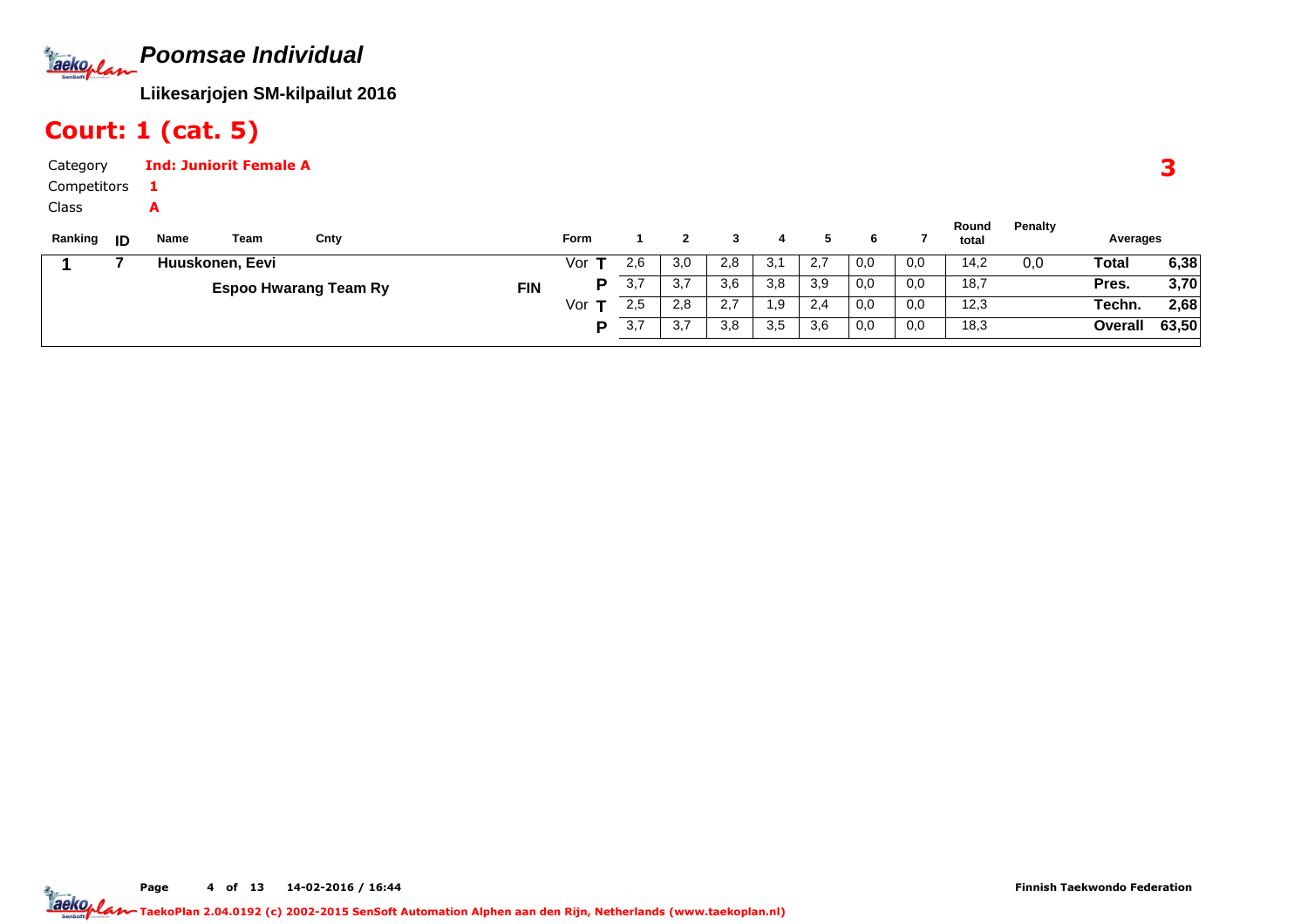**Poomsae Individual**Tackoplan

**Liikesarjojen SM-kilpailut 2016**

## Court: 1 (cat. 5)

| Category          |      | <b>Ind: Juniorit Female A</b> |      |      |     |          |     |     |      |     |     |                |         |          |
|-------------------|------|-------------------------------|------|------|-----|----------|-----|-----|------|-----|-----|----------------|---------|----------|
| Competitors       |      |                               |      |      |     |          |     |     |      |     |     |                |         |          |
| Class             |      |                               |      |      |     |          |     |     |      |     |     |                |         |          |
| Ranking <b>ID</b> | Name | Team                          | Cnty | Form |     | $\sim$ 2 |     | -4  |      | 6   |     | Round<br>total | Penalty | Averages |
|                   |      | Huuskonen. Eevi               |      | Vor  | 2,6 | 3,0      | 2,8 | 3,1 | -2,7 | 0,0 | 0,0 | 14,2           | 0.0     | Total    |

|  | Huuskonen, Eevi              | Vor        | 2,6 | 3,0                   | 2,8           | -21<br>J. | 2,7 | 0,0 | 0,0 | 14,2 | 0,0 | Total   | 6,38  |
|--|------------------------------|------------|-----|-----------------------|---------------|-----------|-----|-----|-----|------|-----|---------|-------|
|  | <b>Espoo Hwarang Team Ry</b> | <b>FIN</b> | ◡.≀ | -27<br>، ب            | 3,6           | 3,8       | 3,9 | 0,0 | 0,0 | 18,7 |     | Pres.   | 3,70  |
|  |                              | Vor        | 2,5 | 2,8                   | າ 7<br>$\sim$ | .9        | 2,4 | 0,0 | 0,0 | 12,3 |     | Techn.  | 2,68  |
|  |                              |            | ◡.≀ | $\sim$ $\sim$<br>ن. ت | 3,8           | 3,5       | 3,6 | 0,0 | 0,0 | 18,3 |     | Overall | 63,50 |
|  |                              |            |     |                       |               |           |     |     |     |      |     |         |       |

Page 4 of 13 14-02-2016 / 16:44 4 of 13 14-02-2016 / 16:4

3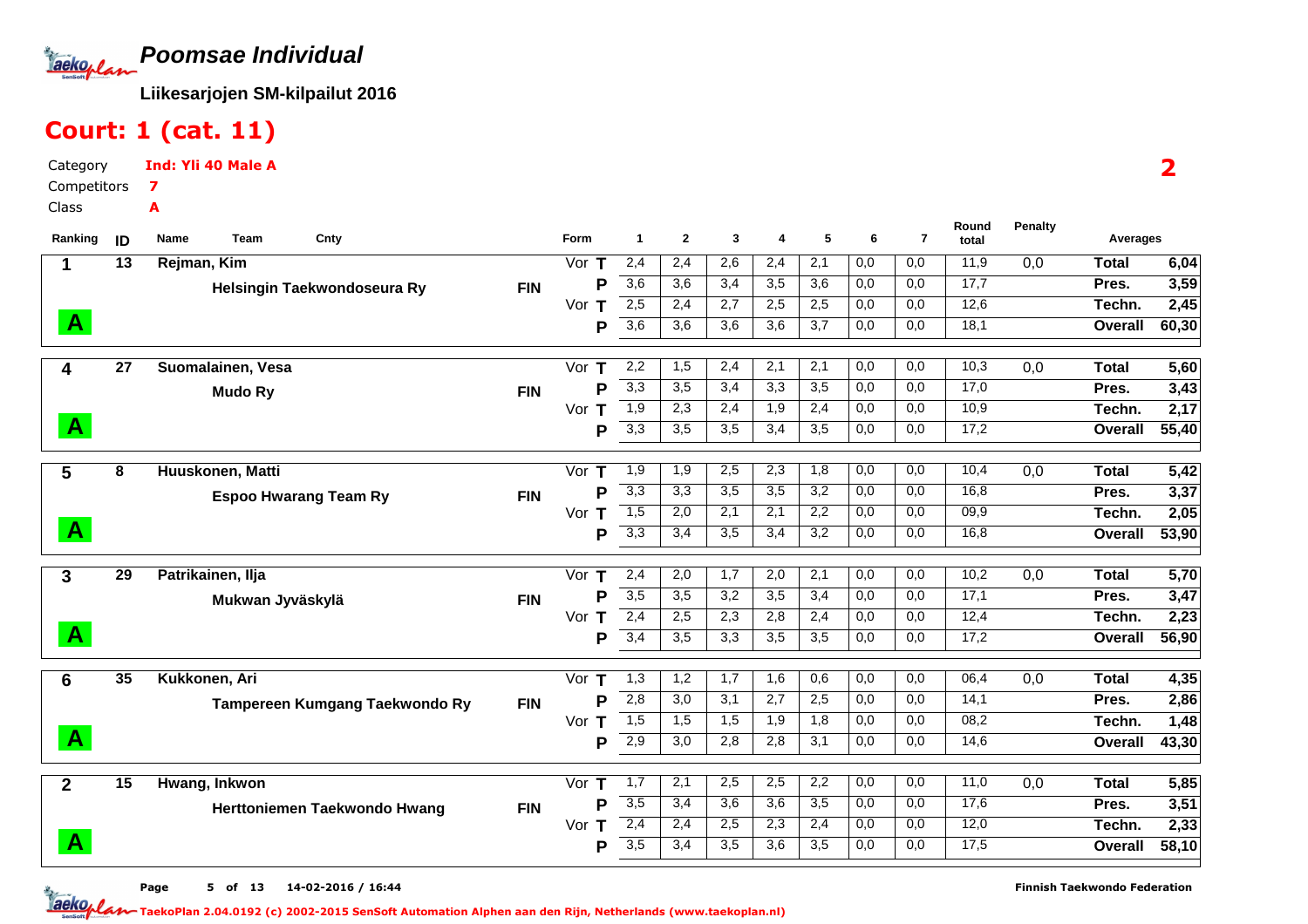**Poomsae Individual**Jackoplan

**Liikesarjojen SM-kilpailut 2016**

## Court: 1 (cat. 11)

Category CompetitorsClassInd: Yli 40 Male A7A

| Ranking      | ID              | Team<br>Cnty<br>Name               |            | Form          | $\mathbf{1}$                         | $\mathbf{2}$     | 3          | 4                | 5                       | 6          | $\overline{7}$ | Round<br>total | <b>Penalty</b>   | Averages     |               |
|--------------|-----------------|------------------------------------|------------|---------------|--------------------------------------|------------------|------------|------------------|-------------------------|------------|----------------|----------------|------------------|--------------|---------------|
| $\mathbf 1$  | 13              | Rejman, Kim                        |            | Vor $T$       | 2,4                                  | 2,4              | 2,6        | 2,4              | 2,1                     | 0,0        | 0,0            | 11,9           | 0,0              | <b>Total</b> | 6,04          |
|              |                 | <b>Helsingin Taekwondoseura Ry</b> | <b>FIN</b> | P             | $\overline{3,6}$                     | 3,6              | 3,4        | 3,5              | 3,6                     | 0,0        | 0,0            | 17,7           |                  | Pres.        | 3,59          |
|              |                 |                                    |            | Vor<br>т      | 2,5                                  | 2,4              | 2,7        | 2,5              | 2,5                     | 0,0        | 0,0            | 12,6           |                  | Techn.       | 2,45          |
| $\mathbf{A}$ |                 |                                    |            | P             | $\overline{3,6}$                     | 3,6              | 3,6        | 3,6              | 3,7                     | 0,0        | 0,0            | 18,1           |                  | Overall      | 60,30         |
| 4            | 27              | Suomalainen, Vesa                  |            | Vor<br>т      | 2,2                                  | 1,5              | 2,4        | $\overline{2,1}$ | 2,1                     | 0,0        | 0,0            | 10,3           | 0,0              | <b>Total</b> | 5,60          |
|              |                 | <b>Mudo Ry</b>                     | <b>FIN</b> | P             | 3,3                                  | 3,5              | 3,4        | 3,3              | 3,5                     | 0,0        | 0,0            | 17,0           |                  | Pres.        | 3,43          |
|              |                 |                                    |            | Vor<br>т      | 1,9                                  | 2,3              | 2,4        | 1,9              | 2,4                     | 0,0        | 0,0            | 10,9           |                  | Techn.       | 2,17          |
| $\mathbf{A}$ |                 |                                    |            | P             | $\overline{3,3}$                     | 3,5              | 3,5        | 3,4              | 3,5                     | 0,0        | 0,0            | 17,2           |                  | Overall      | 55,40         |
|              |                 |                                    |            |               |                                      |                  |            |                  |                         |            |                |                |                  |              |               |
| 5            | 8               | Huuskonen, Matti                   |            | Vor<br>Т      | 1,9                                  | $\overline{1,9}$ | 2,5        | 2,3              | 1,8                     | 0,0        | 0,0            | 10,4           | $\overline{0,0}$ | <b>Total</b> | 5,42          |
|              |                 | <b>Espoo Hwarang Team Ry</b>       | <b>FIN</b> | P             | 3,3                                  | 3,3              | 3,5        | 3,5              | 3,2                     | 0,0        | 0,0            | 16,8           |                  | Pres.        | 3,37          |
| $\mathbf{A}$ |                 |                                    |            | Vor<br>Т<br>P | $\overline{1,5}$<br>3,3              | 2,0<br>3,4       | 2,1<br>3,5 | 2,1<br>3,4       | 2,2<br>3,2              | 0,0<br>0,0 | 0,0<br>0,0     | 09,9<br>16,8   |                  | Techn.       | 2,05          |
|              |                 |                                    |            |               |                                      |                  |            |                  |                         |            |                |                |                  | Overall      | 53,90         |
| 3            | 29              | Patrikainen, Ilja                  |            | Vor<br>т      | 2,4                                  | 2,0              | 1,7        | 2,0              | 2,1                     | 0,0        | 0,0            | 10,2           | 0,0              | <b>Total</b> | 5,70          |
|              |                 | Mukwan Jyväskylä                   | <b>FIN</b> | P             | $\overline{3,5}$                     | 3,5              | 3,2        | 3,5              | 3,4                     | 0,0        | 0,0            | 17,1           |                  | Pres.        | 3,47          |
|              |                 |                                    |            | Vor<br>Т      | 2,4                                  | 2,5              | 2,3        | 2,8              | 2,4                     | 0,0        | 0,0            | 12,4           |                  | Techn.       | 2,23          |
| $\mathbf{A}$ |                 |                                    |            | P             | 3,4                                  | 3,5              | 3,3        | 3,5              | 3,5                     | 0,0        | 0,0            | 17,2           |                  | Overall      | 56,90         |
| 6            | 35              | Kukkonen, Ari                      |            | Vor<br>т      | 1,3                                  | 1,2              | 1,7        | 1,6              | 0,6                     | 0,0        | 0,0            | 06,4           | 0,0              | <b>Total</b> | 4,35          |
|              |                 | Tampereen Kumgang Taekwondo Ry     | <b>FIN</b> | P             | 2,8                                  | 3,0              | 3,1        | 2,7              | 2,5                     | 0,0        | 0,0            | 14,1           |                  | Pres.        | 2,86          |
|              |                 |                                    |            | Vor $T$       | 1,5                                  | 1,5              | 1,5        | 1,9              | 1,8                     | 0,0        | 0,0            | 08,2           |                  | Techn.       | 1,48          |
| $\mathbf{A}$ |                 |                                    |            | P             | $\overline{2,9}$                     | $\overline{3,0}$ | 2,8        | 2,8              | 3,1                     | 0,0        | 0,0            | 14,6           |                  | Overall      | 43,30         |
|              |                 |                                    |            |               |                                      |                  |            |                  |                         |            |                |                |                  |              |               |
| $\mathbf{2}$ | $\overline{15}$ | Hwang, Inkwon                      |            | Vor<br>т      | 1,7                                  | 2,1              | 2,5        | 2,5              | 2,2                     | 0,0        | 0,0            | 11,0           | 0,0              | <b>Total</b> | 5,85          |
|              |                 | Herttoniemen Taekwondo Hwang       | <b>FIN</b> | P             | $\overline{3,5}$<br>$\overline{2,4}$ | 3,4<br>2,4       | 3,6<br>2,5 | 3,6<br>2,3       | $\overline{3,5}$<br>2,4 | 0,0<br>0,0 | 0,0<br>0,0     | 17,6<br>12,0   |                  | Pres.        | 3,51          |
| $\mathbf{A}$ |                 |                                    |            | Vor<br>т<br>P | $\overline{3,5}$                     | 3,4              | 3,5        | 3,6              | 3,5                     | 0,0        | 0,0            | 17,5           |                  | Techn.       | 2,33<br>58,10 |
|              |                 |                                    |            |               |                                      |                  |            |                  |                         |            |                |                |                  | Overall      |               |

2

Page 5 of 13 14-02-2016 / 16:44 5 of 13 14-02-2016 / 16:4

Finnish Taekwondo Federation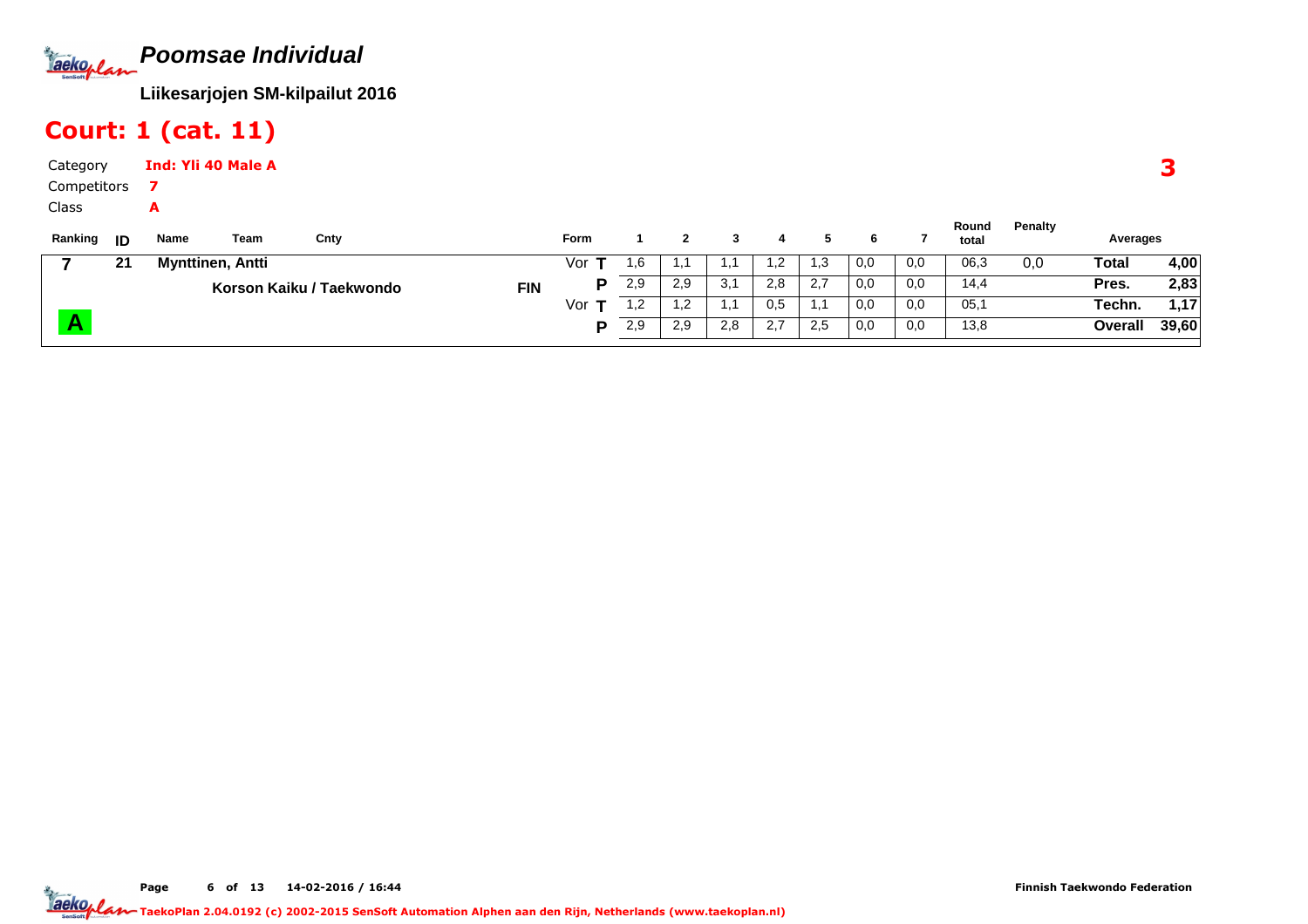**Poomsae Individual**Tackoplan

**Liikesarjojen SM-kilpailut 2016**

## Court: 1 (cat. 11)

| Category    |      | Ind: Yli 40 Male A |      |      |               |     |              |   |     |    |               |               |                               |         |              |
|-------------|------|--------------------|------|------|---------------|-----|--------------|---|-----|----|---------------|---------------|-------------------------------|---------|--------------|
| Competitors |      |                    |      |      |               |     |              |   |     |    |               |               |                               |         |              |
| Class       |      |                    |      |      |               |     |              |   |     |    |               |               |                               |         |              |
| Ranking     | ID   | Name               | Team | Cnty | <b>Form</b>   |     | $\mathbf{2}$ | 3 | 4   |    | 6             |               | Round<br>total                | Penalty | Averages     |
|             | - 24 | Munttinon Antti    |      |      | $\frac{1}{2}$ | 1 R |              |   | . 7 | ∣? | $\cap$ $\cap$ | $\cap$ $\cap$ | $\bigcap$ $\bigcap$ $\bigcap$ | $\cap$  | <b>Total</b> |

| 21 | <b>Mynttinen, Antti</b>  | Vor        | 1.6  |             |     |            | 12<br>ں. ا | 0,0 | 0,0 | 06,3 | 0,0 | Total   | 4,00  |
|----|--------------------------|------------|------|-------------|-----|------------|------------|-----|-----|------|-----|---------|-------|
|    | Korson Kaiku / Taekwondo | <b>FIN</b> | 2,9  | 2.9         | 3,1 | റ റ<br>2.0 | 2,7        | 0,0 | 0,0 | 14.4 |     | Pres.   | 2,83  |
|    |                          | Vor        | ے, ا | ے, ا        |     | U.S        | . .        | 0,0 | 0,0 | 05,  |     | Techn.  | 1,17  |
|    |                          |            | 2,9  | ാ വ<br>ت. ے | 2,8 | ົດ ¬       | 2,5        | 0,0 | 0,0 | 13,8 |     | Overall | 39,60 |
|    |                          |            |      |             |     |            |            |     |     |      |     |         |       |

Page 6 of 13 14-02-2016 / 16:44

3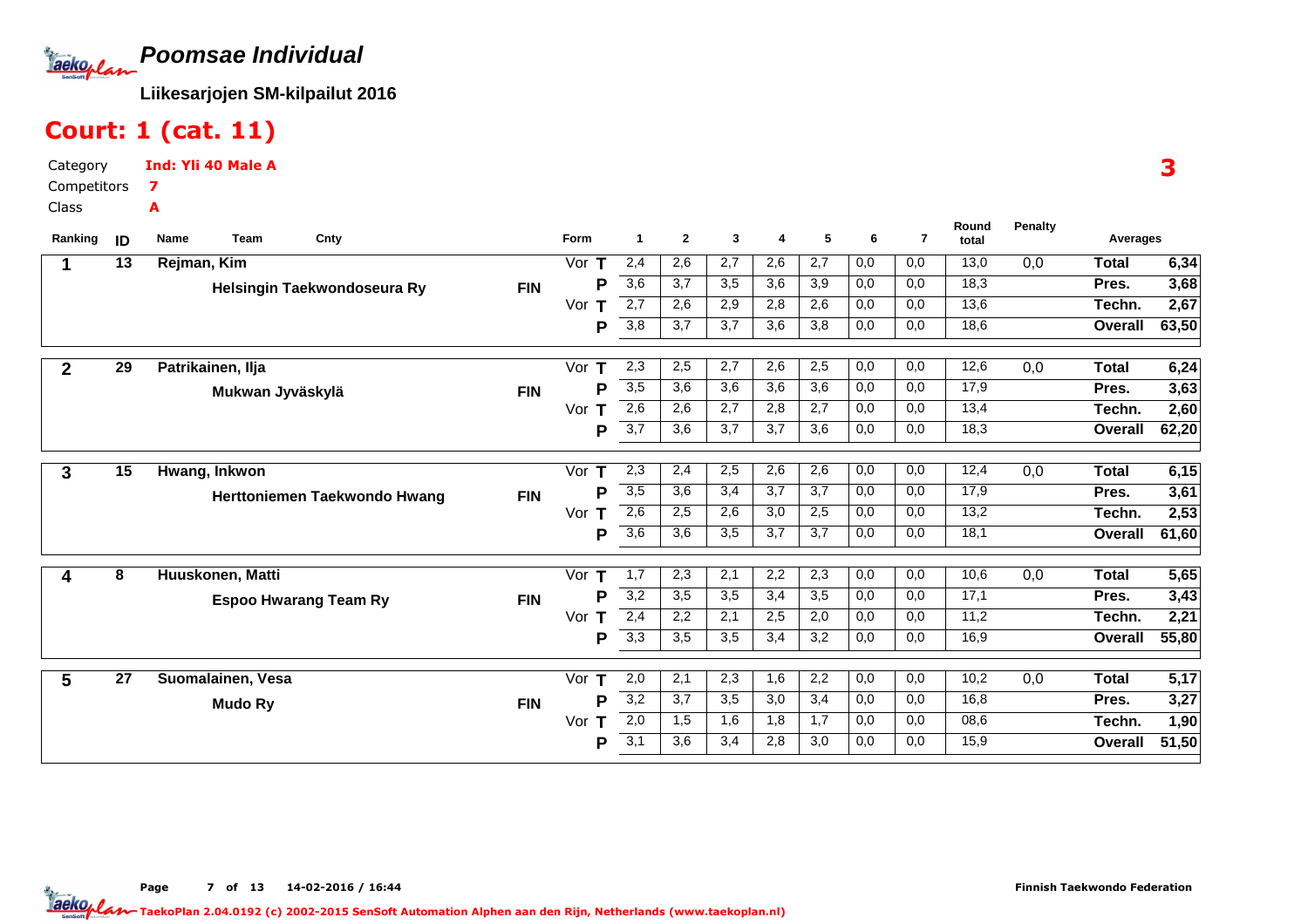

#### Court: 1 (cat. 11)

CategoryCompetitorsClassInd: Yli 40 Male A7A

**Name Team Cnty <sup>1</sup> <sup>2</sup> <sup>3</sup> <sup>4</sup> <sup>5</sup> Round**total **Ranking <sup>6</sup> <sup>7</sup> total Form**m 1 2 3 4 5 6 7 total **Averages PenaltyID 13 Rejman, Kim Helsingin Taekwondoseura Ry FIN1** Vor 2,4 2,6 2,7 2,6 2,7 13,0 0,0 0,0 0,0 **6,34** 3,6 | 3,7 | 3,5 | 3,6 | 3,9 | 0,0 | 0,0 | 18,3  $0,0$  0,0 18,3 2,7 | 2,6 | 2,9 | 2,8 | 2,6 | 0,0 | 0,0  $0,0$ 3,8 | 3,7 | 3,7 | 3,6 | 3,8 | 0,0 | 0,0 13,6 18,6Vor**T** r **T** 2,7 | 2,6 | 2,9 | 2,8 | 2,6 | 0,0 | 0,0 | 13,6 **Techn.** 2,**67 63,503,68** $2.67$ **TotalTechn.Pres.OverallT P P29 Patrikainen, Ilja Mukwan Jyväskylä FIN2** Vor 2,3 2,5 2,7 2,6 2,5 12,6 0,0 0,0 0,0 **6,24** 3,5 3,6 3,6 3,6 3,6 17,9 $0,0$  0,0 17,9 2,6 | 2,6 | 2,7 | 2,8 | 2,7 | 0,0 | 0,0  $0,0$ 3,7 | 3,6 | 3,7 | 3,7 | 3,6 | 0,0 | 0,0 13,4 18,3Vor**T 2,60 62,203,63** $2,60$ **TotalTechn.Pres.OverallT P P15 Hwang, InkwonHerttoniemen Taekwondo Hwang FIN3** Vor 2,3 2,4 2,5 2,6 2,6 12,4 0,0 0,0 0,0 **6,15** 3,5 | 3,6 | 3,4 | 3,7 | 3,7 | 0,0 | 0,0 | 17,9  $0,0$  0,0 17,9 2,6 | 2,5 | 2,6 | 3,0 | 2,5 | 0,0 | 0,0 3,6 | 3,6 | 3,5 | 3,7 | 3,7 | 0,0 | 0,0  $13,2$  18,1Vor**T** r **T** 2,6 | 2,5 | 2,6 | 3,0 | 2,5 | 0,0 | 0,0 | 13,2 **Techn. 2,53 61,603,61** $2,53$ **TotalTechn.Pres.Overall**Vor T **P P8 Huuskonen, Matti Espoo Hwarang Team Ry FIN4** Vor 1,7 2,3 2,1 2,2 2,3 10,6 0,0 0,0 0,0 **5,65** 3,2 | 3,5 | 3,5 | 3,4 | 3,5 | 0,0 | 0,0 | 17,1  $0,0$  0,0 17,1 2,4 | 2,2 | 2,1 | 2,5 | 2,0 | 0,0 | 0,0  $0.0$ 3,3 | 3,5 | 3,4 | 3,2 | 0,0 | 0,0  $11.2$  16,9Vor**T 2,21 55,803,43** $2,21$ **TotalTechn.Pres.Overall**Vor **T P P27 Suomalainen, Vesa Mudo Ry FIN5** Vor 2,0 2,1 2,3 1,6 2,2 10,2 0,0 0,0 0,0 **5,17** 3,2 | 3,7 | 3,5 | 3,0 | 3,4 | 0,0 | 0,0 | 16,8  $0,0$  0,0 16,8 2,0 | 1,5 | 1,6 | 1,8 | 1,7 | 0,0 | 0,0  $0.0$ 3,1 | 3,6 | 3,4 | 2,8 | 3,0 | 0,0 | 0,0 08,6 $15,9$ Vor**T 1,90 51,503,27** $1,90$ **TotalTechn.Pres.OverallT PP**

3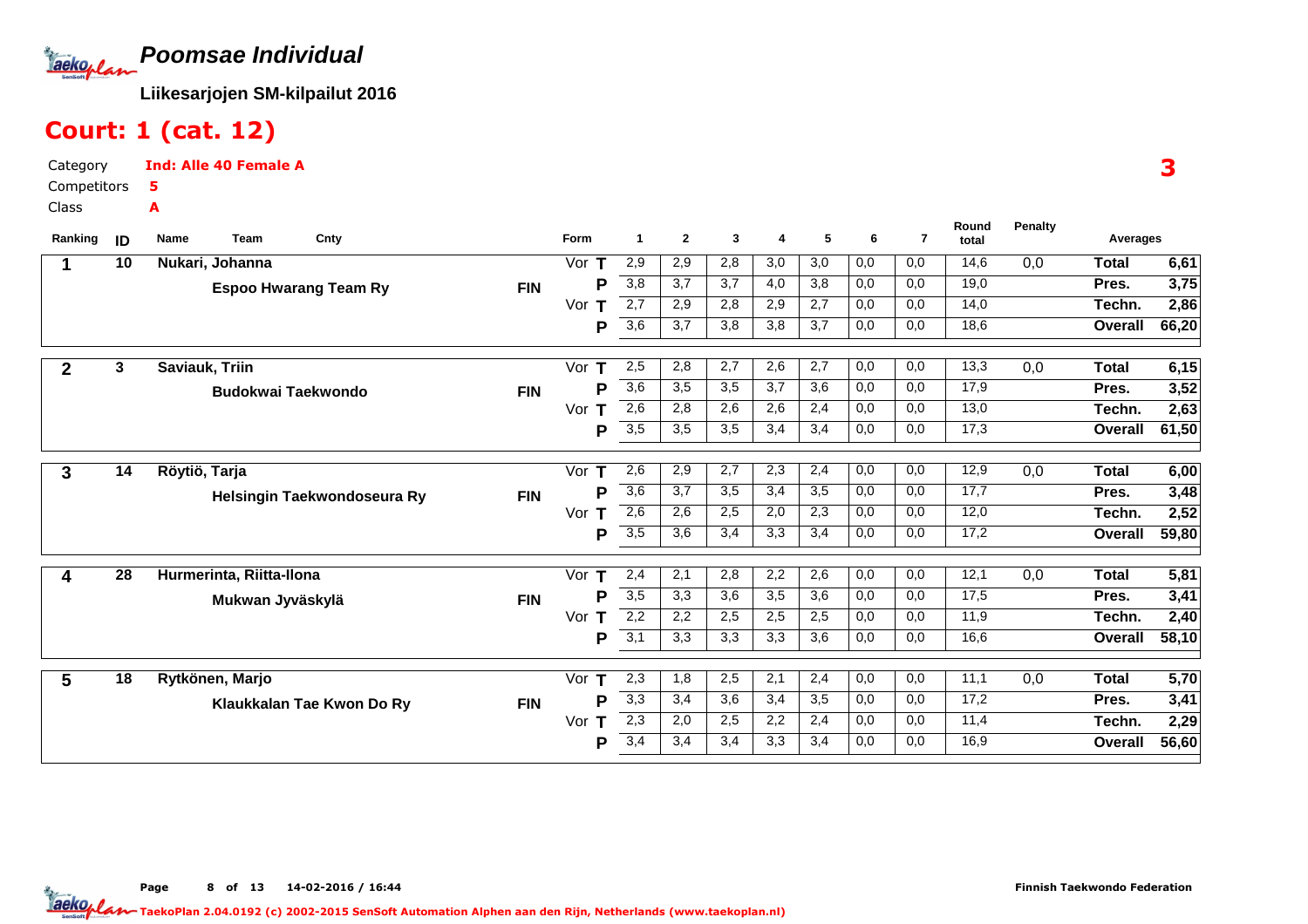

#### Court: 1 (cat. 12)

Category CompetitorsClassInd: Alle 40 Female A5A

| Ranking      | ID                      | Name<br><b>Team</b><br>Cnty  |            | <b>Form</b> | 1                | $\mathbf{2}$ | 3   | 4   | 5   | 6   | $\overline{7}$ | Round<br>total | <b>Penalty</b>   | Averages     |       |
|--------------|-------------------------|------------------------------|------------|-------------|------------------|--------------|-----|-----|-----|-----|----------------|----------------|------------------|--------------|-------|
| 1            | 10                      | Nukari, Johanna              |            | Vor<br>Т    | 2,9              | 2,9          | 2,8 | 3,0 | 3,0 | 0,0 | 0,0            | 14,6           | 0,0              | Total        | 6,61  |
|              |                         | <b>Espoo Hwarang Team Ry</b> | <b>FIN</b> | P           | $\overline{3,8}$ | 3,7          | 3,7 | 4,0 | 3,8 | 0,0 | 0,0            | 19,0           |                  | Pres.        | 3,75  |
|              |                         |                              |            | Vor         | 2,7              | 2,9          | 2,8 | 2,9 | 2,7 | 0,0 | 0,0            | 14,0           |                  | Techn.       | 2,86  |
|              |                         |                              |            | P           | $\overline{3,6}$ | 3,7          | 3,8 | 3,8 | 3,7 | 0,0 | 0,0            | 18,6           |                  | Overall      | 66,20 |
| $\mathbf{2}$ | $\overline{\mathbf{3}}$ | Saviauk, Triin               |            | Vor T       | 2,5              | 2,8          | 2,7 | 2,6 | 2,7 | 0,0 | 0,0            | 13,3           | 0,0              | <b>Total</b> | 6,15  |
|              |                         | <b>Budokwai Taekwondo</b>    | <b>FIN</b> | P           | $\overline{3,6}$ | 3,5          | 3,5 | 3,7 | 3,6 | 0,0 | 0,0            | 17,9           |                  | Pres.        | 3,52  |
|              |                         |                              |            | Vor<br>т    | 2,6              | 2,8          | 2,6 | 2,6 | 2,4 | 0,0 | 0,0            | 13,0           |                  | Techn.       | 2,63  |
|              |                         |                              |            | P           | 3,5              | 3,5          | 3,5 | 3,4 | 3,4 | 0,0 | 0,0            | 17,3           |                  | Overall      | 61,50 |
| 3            | 14                      | Röytiö, Tarja                |            | Vor $T$     | 2,6              | 2,9          | 2,7 | 2,3 | 2,4 | 0,0 | 0,0            | 12,9           | 0,0              | Total        | 6,00  |
|              |                         | Helsingin Taekwondoseura Ry  | <b>FIN</b> | Р           | 3,6              | 3,7          | 3,5 | 3,4 | 3,5 | 0,0 | 0,0            | 17,7           |                  | Pres.        | 3,48  |
|              |                         |                              |            | Vor<br>T    | 2,6              | 2,6          | 2,5 | 2,0 | 2,3 | 0,0 | 0,0            | 12,0           |                  | Techn.       | 2,52  |
|              |                         |                              |            | P           | $\overline{3,5}$ | 3,6          | 3,4 | 3,3 | 3,4 | 0,0 | 0,0            | 17,2           |                  | Overall      | 59,80 |
| 4            | 28                      | Hurmerinta, Riitta-Ilona     |            | Vor<br>т    | 2,4              | 2,1          | 2,8 | 2,2 | 2,6 | 0,0 | 0,0            | 12,1           | $\overline{0,0}$ | Total        | 5,81  |
|              |                         |                              |            | P           | $\overline{3,5}$ | 3,3          | 3,6 | 3,5 | 3,6 | 0,0 | 0,0            | 17,5           |                  | Pres.        | 3,41  |
|              |                         | Mukwan Jyväskylä             | <b>FIN</b> | Vor<br>т    | 2,2              | 2,2          | 2,5 | 2,5 | 2,5 | 0,0 | 0,0            | 11,9           |                  | Techn.       | 2,40  |
|              |                         |                              |            | Р           | 3,1              | 3,3          | 3,3 | 3,3 | 3,6 | 0,0 | 0,0            | 16,6           |                  | Overall      | 58,10 |
| 5            | 18                      | Rytkönen, Marjo              |            | Vor $T$     | 2,3              | 1,8          | 2,5 | 2,1 | 2,4 | 0,0 | 0,0            | 11,1           | 0,0              | Total        | 5,70  |
|              |                         |                              |            | P           | $\overline{3,3}$ | 3,4          | 3,6 | 3,4 | 3,5 | 0,0 | 0,0            | 17,2           |                  | Pres.        | 3,41  |
|              |                         | Klaukkalan Tae Kwon Do Ry    | <b>FIN</b> | Vor<br>Т    | 2,3              | 2,0          | 2,5 | 2,2 | 2,4 | 0,0 | 0,0            | 11,4           |                  | Techn.       | 2,29  |
|              |                         |                              |            | Р           | 3,4              | 3,4          | 3,4 | 3,3 | 3,4 | 0,0 | 0,0            | 16,9           |                  | Overall      | 56,60 |
|              |                         |                              |            |             |                  |              |     |     |     |     |                |                |                  |              |       |

3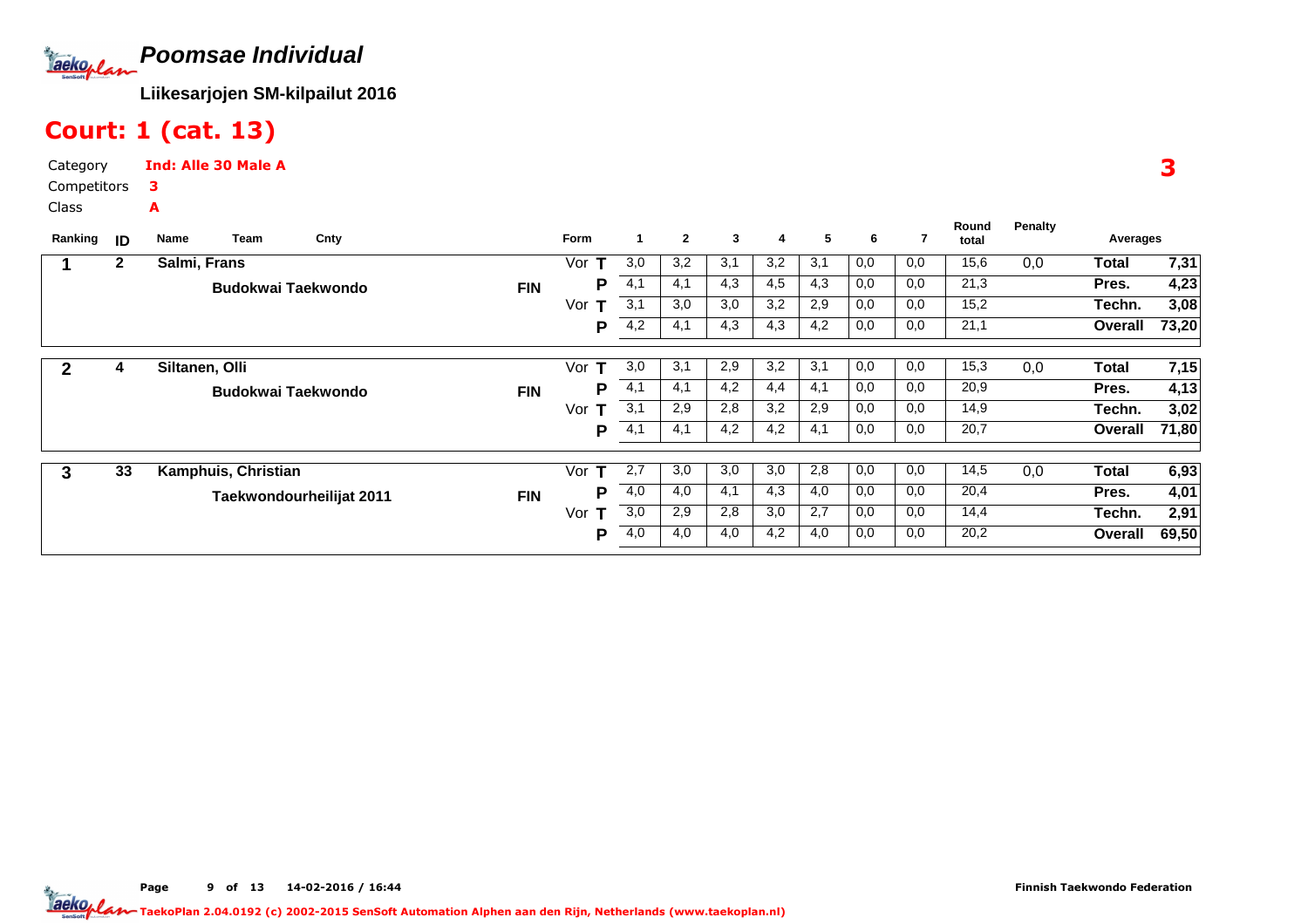

## Court: 1 (cat. 13)

Category CompetitorsClassInd: Alle 30 Male A3A

| Ranking | ID           | Team<br>Cnty<br>Name      |            | <b>Form</b> |     | $\mathbf{2}$ | 3   | 4   | 5   | 6   | 7   | Round<br>total | Penalty | Averages |       |
|---------|--------------|---------------------------|------------|-------------|-----|--------------|-----|-----|-----|-----|-----|----------------|---------|----------|-------|
|         | $\mathbf{2}$ | Salmi, Frans              |            | Vor<br>т    | 3,0 | 3,2          | 3,1 | 3,2 | 3,1 | 0,0 | 0,0 | 15,6           | 0,0     | Total    | 7,31  |
|         |              | <b>Budokwai Taekwondo</b> | <b>FIN</b> | P           | 4,1 | 4,1          | 4,3 | 4,5 | 4,3 | 0,0 | 0,0 | 21,3           |         | Pres.    | 4,23  |
|         |              |                           |            | Vor<br>т    | 3,1 | 3,0          | 3,0 | 3,2 | 2,9 | 0,0 | 0,0 | 15,2           |         | Techn.   | 3,08  |
|         |              |                           |            | P           | 4,2 | 4,1          | 4,3 | 4,3 | 4,2 | 0,0 | 0,0 | 21,1           |         | Overall  | 73,20 |
| 2       | 4            | Siltanen, Olli            |            | Vor<br>т    | 3,0 | 3,1          | 2,9 | 3,2 | 3,1 | 0,0 | 0,0 | 15,3           | 0,0     | Total    | 7,15  |
|         |              | Budokwai Taekwondo        | <b>FIN</b> | P           | 4,1 | 4,1          | 4,2 | 4,4 | 4,1 | 0,0 | 0,0 | 20,9           |         | Pres.    | 4,13  |
|         |              |                           |            | Vor<br>т    | 3,1 | 2,9          | 2,8 | 3,2 | 2,9 | 0,0 | 0,0 | 14,9           |         | Techn.   | 3,02  |
|         |              |                           |            | Р           | 4,1 | 4,1          | 4,2 | 4,2 | 4,1 | 0,0 | 0,0 | 20,7           |         | Overall  | 71,80 |
|         |              |                           |            |             |     |              |     |     |     |     |     |                |         |          |       |
| 3       | 33           | Kamphuis, Christian       |            | Vor<br>т    | 2,7 | 3,0          | 3,0 | 3,0 | 2,8 | 0,0 | 0,0 | 14,5           | 0,0     | Total    | 6,93  |
|         |              | Taekwondourheilijat 2011  | <b>FIN</b> | P           | 4,0 | 4,0          | 4,1 | 4,3 | 4,0 | 0,0 | 0,0 | 20,4           |         | Pres.    | 4,01  |
|         |              |                           |            | т<br>Vor    | 3,0 | 2,9          | 2,8 | 3,0 | 2,7 | 0,0 | 0,0 | 14,4           |         | Techn.   | 2,91  |
|         |              |                           |            | P           | 4,0 | 4,0          | 4,0 | 4,2 | 4,0 | 0,0 | 0,0 | 20,2           |         | Overall  | 69,50 |

3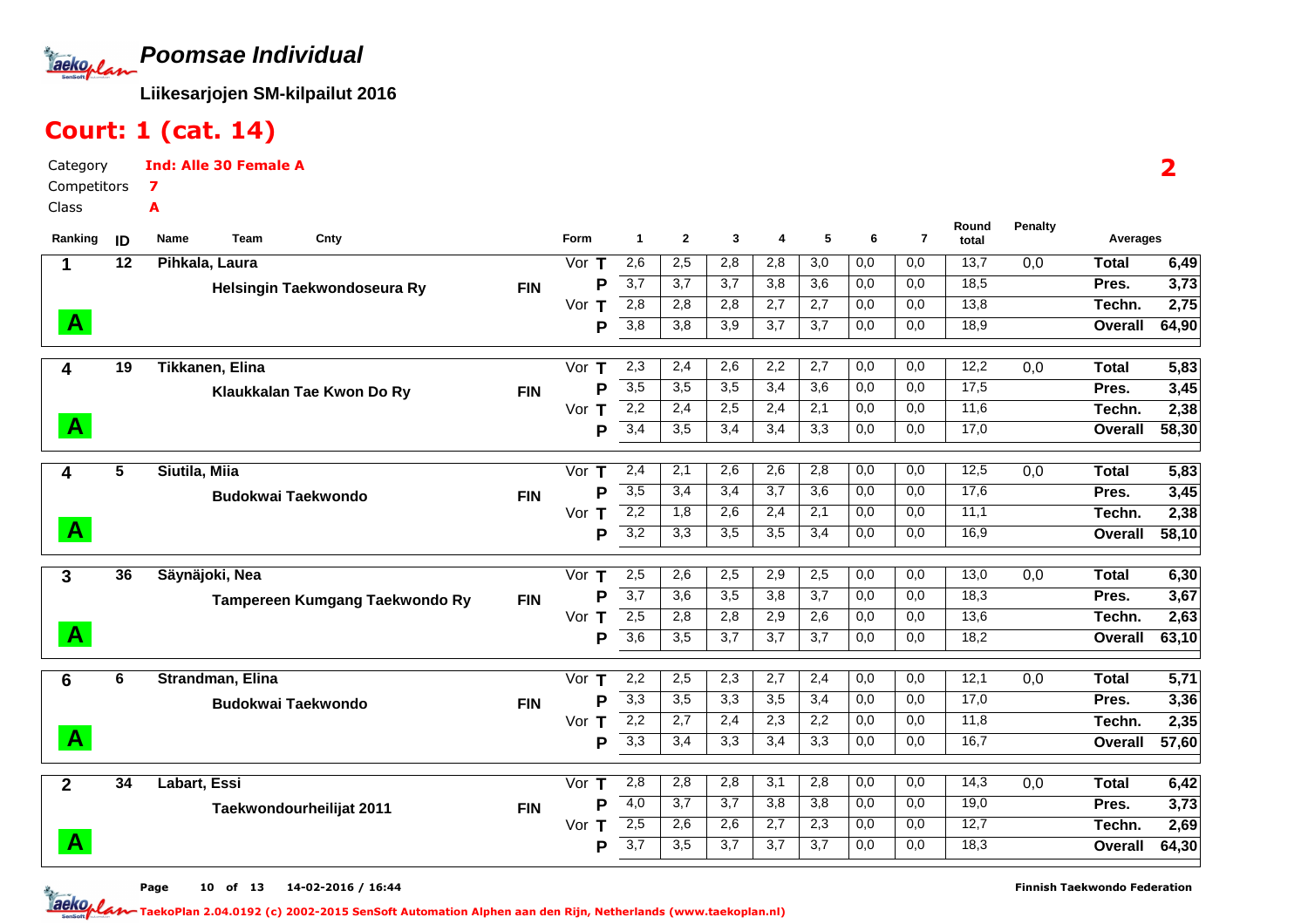

# Court: 1 (cat. 14)

Category CompetitorsClassInd: Alle 30 Female A7A

| Ranking      | ID              | <b>Name</b><br>Cnty<br>Team    |            | <b>Form</b> | $\mathbf{1}$     | $\mathbf{2}$     | 3                | 4                | 5                | 6   | $\overline{7}$ | Round<br>total | <b>Penalty</b> | Averages     |       |
|--------------|-----------------|--------------------------------|------------|-------------|------------------|------------------|------------------|------------------|------------------|-----|----------------|----------------|----------------|--------------|-------|
| 1            | $\overline{12}$ | Pihkala, Laura                 |            | Vor $T$     | 2,6              | 2,5              | 2,8              | 2,8              | $\overline{3,0}$ | 0,0 | 0,0            | 13,7           | 0,0            | <b>Total</b> | 6,49  |
|              |                 | Helsingin Taekwondoseura Ry    | <b>FIN</b> | P           | $\overline{3,7}$ | 3,7              | 3,7              | 3,8              | 3,6              | 0,0 | 0,0            | 18,5           |                | Pres.        | 3,73  |
|              |                 |                                |            | Vor $T$     | 2,8              | 2,8              | 2,8              | 2,7              | 2,7              | 0,0 | 0,0            | 13,8           |                | Techn.       | 2,75  |
| $\mathbf{A}$ |                 |                                |            | P           | $\overline{3,8}$ | 3,8              | $\overline{3,9}$ | $\overline{3,7}$ | 3,7              | 0,0 | 0,0            | 18,9           |                | Overall      | 64,90 |
| 4            | $\overline{19}$ | Tikkanen, Elina                |            | Vor $T$     | 2,3              | 2,4              | 2,6              | 2,2              | 2,7              | 0,0 | 0,0            | 12,2           | 0,0            | <b>Total</b> | 5,83  |
|              |                 | Klaukkalan Tae Kwon Do Ry      | <b>FIN</b> | P           | $\overline{3,5}$ | 3,5              | 3,5              | 3,4              | 3,6              | 0,0 | 0,0            | 17,5           |                | Pres.        | 3,45  |
|              |                 |                                |            | Vor T       | 2,2              | 2,4              | 2,5              | 2,4              | 2,1              | 0,0 | 0,0            | 11,6           |                | Techn.       | 2,38  |
| $\mathbf{A}$ |                 |                                |            | P           | 3,4              | 3,5              | 3,4              | 3,4              | 3,3              | 0,0 | 0,0            | 17,0           |                | Overall      | 58,30 |
| 4            | 5               | Siutila, Miia                  |            | Vor $T$     | 2,4              | 2,1              | 2,6              | 2,6              | 2,8              | 0,0 | 0,0            | 12,5           | 0,0            | <b>Total</b> | 5,83  |
|              |                 | <b>Budokwai Taekwondo</b>      | <b>FIN</b> | P           | 3,5              | 3,4              | 3,4              | 3,7              | $\overline{3,6}$ | 0,0 | 0,0            | 17,6           |                | Pres.        | 3,45  |
|              |                 |                                |            | Vor T       | $\overline{2,2}$ | 1,8              | 2,6              | 2,4              | 2,1              | 0,0 | 0,0            | 11,1           |                | Techn.       | 2,38  |
| $\mathbf{A}$ |                 |                                |            | P           | 3,2              | 3,3              | $\overline{3,5}$ | 3,5              | 3,4              | 0,0 | 0,0            | 16,9           |                | Overall      | 58,10 |
| 3            | 36              | Säynäjoki, Nea                 |            | Vor $T$     | 2,5              | 2,6              | 2,5              | 2,9              | 2,5              | 0,0 | 0,0            | 13,0           | 0,0            | <b>Total</b> | 6,30  |
|              |                 | Tampereen Kumgang Taekwondo Ry | <b>FIN</b> | P           | $\overline{3,7}$ | $\overline{3,6}$ | $\overline{3,5}$ | $\overline{3,8}$ | $\overline{3,7}$ | 0,0 | 0,0            | 18,3           |                | Pres.        | 3,67  |
|              |                 |                                |            | Vor T       | 2,5              | 2,8              | 2,8              | 2,9              | 2,6              | 0,0 | 0,0            | 13,6           |                | Techn.       | 2,63  |
| $\mathbf{A}$ |                 |                                |            | P           | $\overline{3,6}$ | 3,5              | 3,7              | 3,7              | 3,7              | 0,0 | 0,0            | 18,2           |                | Overall      | 63,10 |
| 6            | 6               | Strandman, Elina               |            | Vor $T$     | 2,2              | 2,5              | 2,3              | 2,7              | 2,4              | 0,0 | 0,0            | 12,1           | 0,0            | <b>Total</b> | 5,71  |
|              |                 | <b>Budokwai Taekwondo</b>      | <b>FIN</b> | P           | 3,3              | 3,5              | 3,3              | 3,5              | 3,4              | 0,0 | 0,0            | 17,0           |                | Pres.        | 3,36  |
|              |                 |                                |            | Vor T       | 2,2              | 2,7              | 2,4              | 2,3              | 2,2              | 0,0 | 0,0            | 11,8           |                | Techn.       | 2,35  |
| $\mathbf{A}$ |                 |                                |            | P           | $\overline{3,3}$ | 3,4              | 3,3              | 3,4              | 3,3              | 0,0 | 0,0            | 16,7           |                | Overall      | 57,60 |
| $\mathbf{2}$ | 34              | Labart, Essi                   |            | Vor $T$     | 2,8              | 2,8              | 2,8              | 3,1              | 2,8              | 0,0 | 0,0            | 14,3           | 0,0            | <b>Total</b> | 6,42  |
|              |                 | Taekwondourheilijat 2011       | <b>FIN</b> | P           | 4,0              | 3,7              | $\overline{3,7}$ | 3,8              | $\overline{3,8}$ | 0,0 | 0,0            | 19,0           |                | Pres.        | 3,73  |
|              |                 |                                |            | Vor $T$     | 2,5              | 2,6              | 2,6              | 2,7              | 2,3              | 0,0 | 0,0            | 12,7           |                | Techn.       | 2,69  |
| $\mathbf{A}$ |                 |                                |            | P           | 3,7              | 3,5              | 3,7              | 3,7              | 3,7              | 0,0 | 0,0            | 18,3           |                | Overall      | 64,30 |

Page 10 of 13 14-02-2016 / 16:44 10 of 13 14-02-2016 / 16:4

Finnish Taekwondo Federation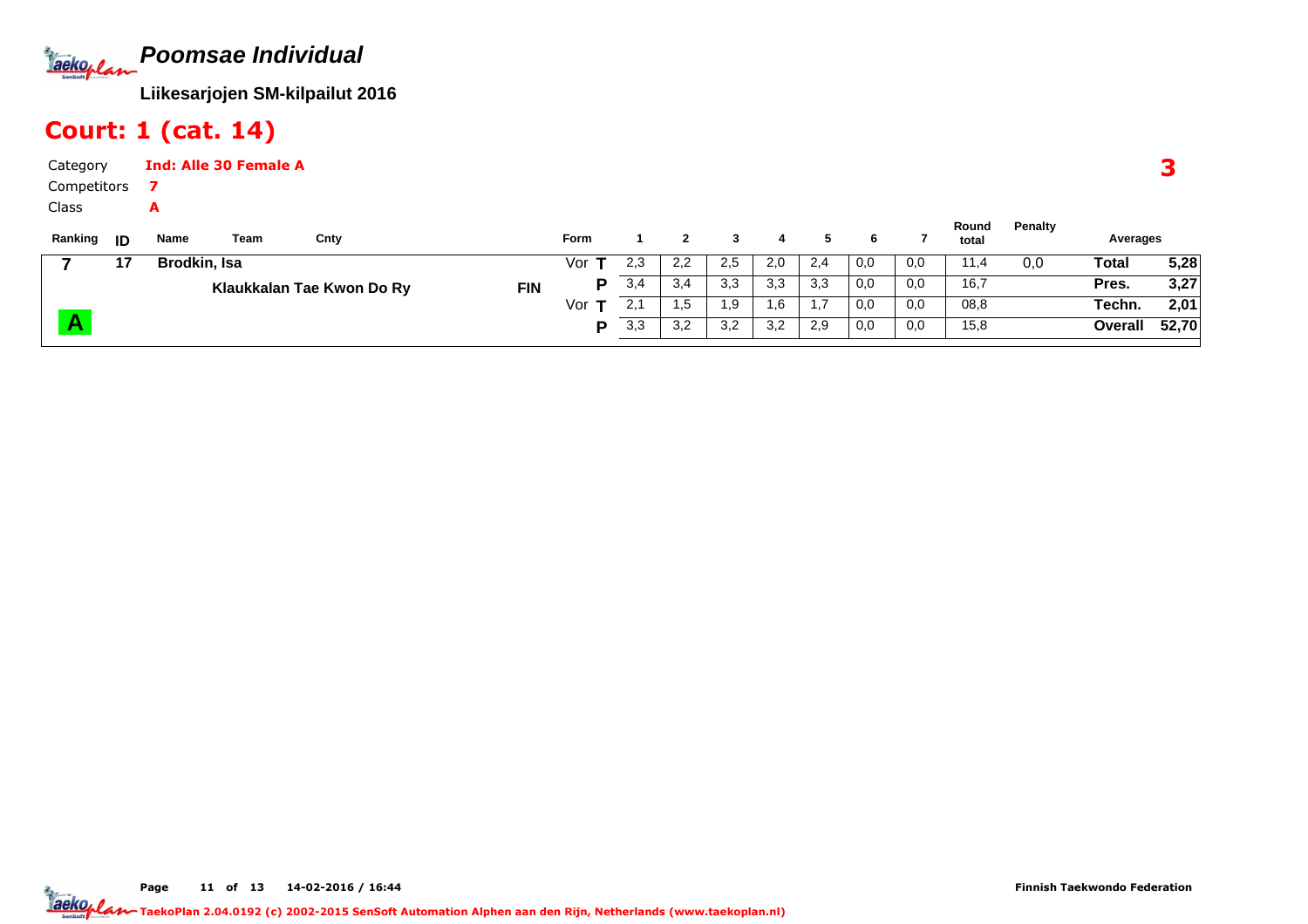**Poomsae Individual**Jackoplan

**Liikesarjojen SM-kilpailut 2016**

**<sup>P</sup>**

## Court: 1 (cat. 14)

**A**

| Category    |      |              | <b>Ind: Alle 30 Female A</b> |                           |            |      |     |     |     |     |     |     |     |       |         |          |      |
|-------------|------|--------------|------------------------------|---------------------------|------------|------|-----|-----|-----|-----|-----|-----|-----|-------|---------|----------|------|
| Competitors |      |              |                              |                           |            |      |     |     |     |     |     |     |     |       |         |          |      |
| Class       |      | A            |                              |                           |            |      |     |     |     |     |     |     |     | Round | Penalty |          |      |
| Ranking     | - ID | Name         | Team                         | Cnty                      |            | Form |     |     |     |     |     | 6.  |     | total |         | Averages |      |
|             | 17   | Brodkin, Isa |                              |                           |            | Vor  | 2,3 | 2,2 | 2,5 | 2,0 | 2,4 | 0,0 | 0,0 | 11,4  | 0,0     | Total    | 5,28 |
|             |      |              |                              | Klaukkalan Tae Kwon Do Ry | <b>FIN</b> | D    | 3,4 | 3,4 | 3,3 | 3,3 | 3,3 | 0,0 | 0,0 | 16,7  |         | Pres.    | 3,27 |
|             |      |              |                              |                           |            | Vor  | 2,1 | .5  | 1,9 | .6، | 1,7 | 0,0 | 0,0 | 08,8  |         | Techn.   | 2.01 |

Vor**T**

P

 $\overline{0,0}$ 

r **T** 2,1 | 1,5 | 1,9 | 1,6 | 1,7 | 0,0 | 0,0 | 08,8 **Techn. 2,01** 

08,8 $15,8$ 

2,1 | 1,5 | 1,9 | 1,6 | 1,7 | 0,0 | 0,0

3,3 | 3,2 | 3,2 | 3,2 | 2,9 | 0,0 | 0,0

Page 11 of 13 14-02-2016 / 16:44

**52,70**

**Overall**

 $\overline{2,01}$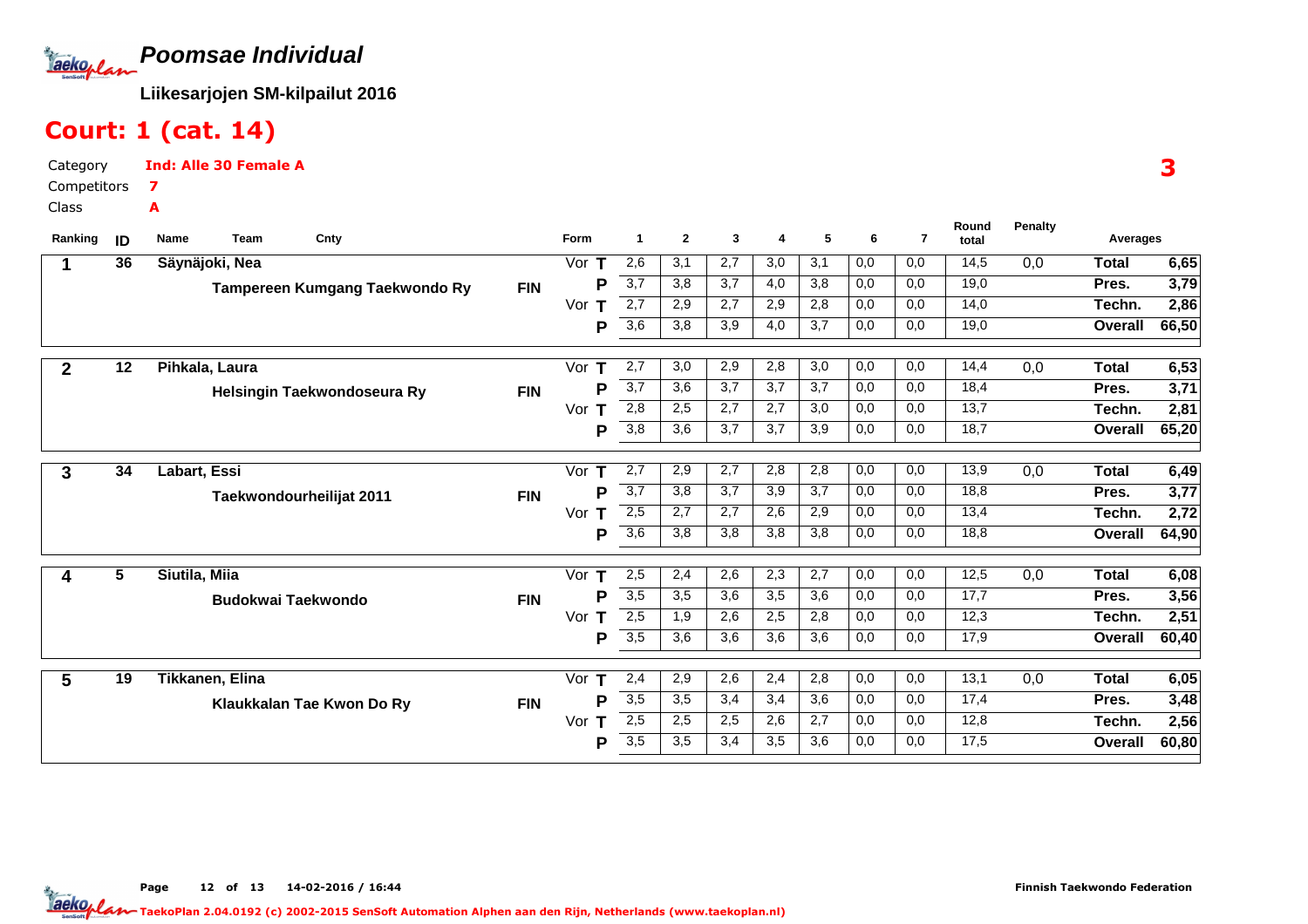

## Court: 1 (cat. 14)

Category CompetitorsInd: Alle 30 Female A7A

Class

| Ranking        | ID | Name<br>Cnty<br><b>Team</b>    | Form               | 1                | $\mathbf{2}$ | 3   | 4   | 5                | 6   | $\overline{7}$ | Round<br>total | <b>Penalty</b> | Averages     |       |
|----------------|----|--------------------------------|--------------------|------------------|--------------|-----|-----|------------------|-----|----------------|----------------|----------------|--------------|-------|
|                | 36 | Säynäjoki, Nea                 | Vor                | 2,6              | 3,1          | 2,7 | 3,0 | 3,1              | 0,0 | 0,0            | 14,5           | 0,0            | <b>Total</b> | 6,65  |
|                |    | Tampereen Kumgang Taekwondo Ry | P<br><b>FIN</b>    | $\overline{3,7}$ | 3,8          | 3,7 | 4,0 | 3,8              | 0,0 | 0,0            | 19,0           |                | Pres.        | 3,79  |
|                |    |                                | Vor                | $\overline{2,7}$ | 2,9          | 2,7 | 2,9 | 2,8              | 0,0 | 0,0            | 14,0           |                | Techn.       | 2,86  |
|                |    |                                | Ρ                  | 3,6              | 3,8          | 3,9 | 4,0 | 3,7              | 0,0 | 0,0            | 19,0           |                | Overall      | 66,50 |
| $\mathbf{2}$   | 12 | Pihkala, Laura                 | Vor<br>т           | 2,7              | 3,0          | 2,9 | 2,8 | 3,0              | 0,0 | 0,0            | 14,4           | 0,0            | <b>Total</b> | 6,53  |
|                |    | Helsingin Taekwondoseura Ry    | P<br><b>FIN</b>    | 3,7              | 3,6          | 3,7 | 3,7 | $\overline{3,7}$ | 0,0 | 0,0            | 18,4           |                | Pres.        | 3,71  |
|                |    |                                | Vor<br>т           | 2,8              | 2,5          | 2,7 | 2,7 | 3,0              | 0,0 | 0,0            | 13,7           |                | Techn.       | 2,81  |
|                |    |                                | Р                  | $\overline{3,8}$ | 3,6          | 3,7 | 3,7 | 3,9              | 0,0 | 0,0            | 18,7           |                | Overall      | 65,20 |
| 3              | 34 | Labart, Essi                   | Vor<br>$\mathsf T$ | 2,7              | 2,9          | 2,7 | 2,8 | 2,8              | 0,0 | 0,0            | 13,9           | 0,0            | <b>Total</b> | 6,49  |
|                |    | Taekwondourheilijat 2011       | Р<br><b>FIN</b>    | $\overline{3,7}$ | 3,8          | 3,7 | 3,9 | 3,7              | 0,0 | 0,0            | 18,8           |                | Pres.        | 3,77  |
|                |    |                                | Vor<br>т           | 2,5              | 2,7          | 2,7 | 2,6 | 2,9              | 0,0 | 0,0            | 13,4           |                | Techn.       | 2,72  |
|                |    |                                | Р                  | $\overline{3,6}$ | 3,8          | 3,8 | 3,8 | 3,8              | 0,0 | 0,0            | 18,8           |                | Overall      | 64,90 |
| 4              | 5  | Siutila, Miia                  | Vor                | 2,5              | 2,4          | 2,6 | 2,3 | 2,7              | 0,0 | 0,0            | 12,5           | 0,0            | <b>Total</b> | 6,08  |
|                |    | <b>Budokwai Taekwondo</b>      | P<br><b>FIN</b>    | $\overline{3,5}$ | 3,5          | 3,6 | 3,5 | 3,6              | 0,0 | 0,0            | 17,7           |                | Pres.        | 3,56  |
|                |    |                                | Vor<br>т           | 2,5              | 1,9          | 2,6 | 2,5 | 2,8              | 0,0 | 0,0            | 12,3           |                | Techn.       | 2,51  |
|                |    |                                | P                  | $\overline{3,5}$ | 3,6          | 3,6 | 3,6 | 3,6              | 0,0 | 0,0            | 17,9           |                | Overall      | 60,40 |
| $5\phantom{1}$ | 19 | Tikkanen, Elina                | Vor<br>Т           | 2,4              | 2,9          | 2,6 | 2,4 | 2,8              | 0,0 | 0,0            | 13,1           | 0,0            | <b>Total</b> | 6,05  |
|                |    | Klaukkalan Tae Kwon Do Ry      | P<br><b>FIN</b>    | 3,5              | 3,5          | 3,4 | 3,4 | 3,6              | 0,0 | 0,0            | 17,4           |                | Pres.        | 3,48  |
|                |    |                                | Vor                | 2,5              | 2,5          | 2,5 | 2,6 | 2,7              | 0,0 | 0,0            | 12,8           |                | Techn.       | 2,56  |
|                |    |                                | Р                  | 3,5              | 3,5          | 3,4 | 3,5 | 3,6              | 0,0 | 0,0            | 17,5           |                | Overall      | 60,80 |

Page 12 of 13 14-02-2016 / 16:44 12 of 13 14-02-2016 / 16:4

3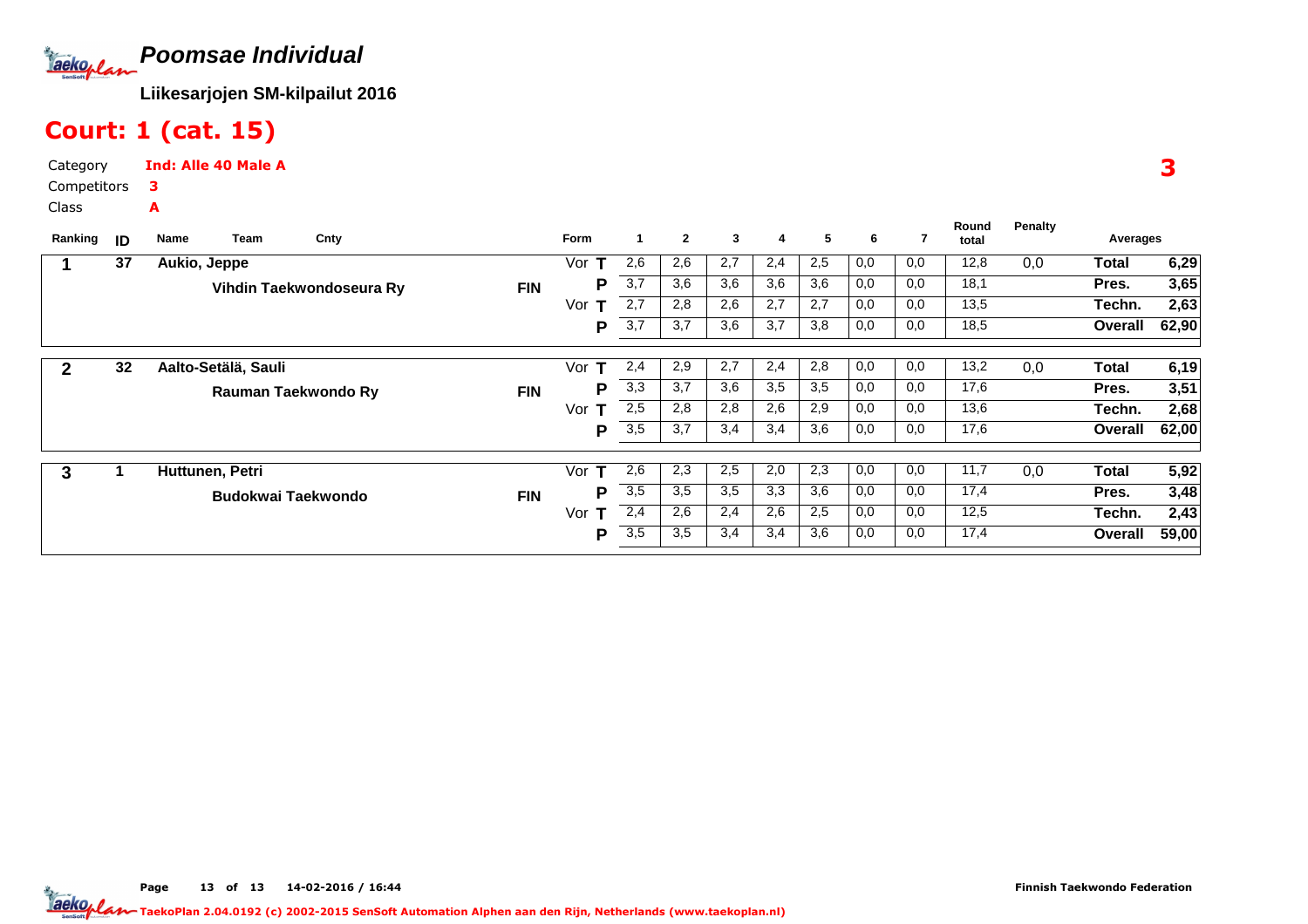

### Court: 1 (cat. 15)

Category CompetitorsClassInd: Alle 40 Male A3A

| Ranking      | ID | Cnty<br>Team<br>Name      |            | Form     | $\mathbf{1}$     | $\mathbf{2}$ | 3   | 4   | 5   | 6   |     | Round<br>total | <b>Penalty</b> | Averages     |       |
|--------------|----|---------------------------|------------|----------|------------------|--------------|-----|-----|-----|-----|-----|----------------|----------------|--------------|-------|
|              | 37 | Aukio, Jeppe              |            | Vor      | 2,6              | 2,6          | 2,7 | 2,4 | 2,5 | 0,0 | 0,0 | 12,8           | 0,0            | Total        | 6,29  |
|              |    | Vihdin Taekwondoseura Ry  | <b>FIN</b> | Р        | 3,7              | 3.6          | 3,6 | 3,6 | 3,6 | 0,0 | 0,0 | 18,1           |                | Pres.        | 3,65  |
|              |    |                           |            | Vor<br>т | 2,7              | 2,8          | 2,6 | 2,7 | 2,7 | 0,0 | 0,0 | 13,5           |                | Techn.       | 2,63  |
|              |    |                           |            | P        | 3,7              | 3,7          | 3,6 | 3,7 | 3,8 | 0,0 | 0,0 | 18,5           |                | Overall      | 62,90 |
| $\mathbf{2}$ | 32 | Aalto-Setälä, Sauli       |            | Vor<br>т | 2,4              | 2,9          | 2,7 | 2,4 | 2,8 | 0,0 | 0,0 | 13,2           | 0,0            | Total        | 6,19  |
|              |    |                           |            | P        | 3,3              | 3.7          | 3,6 | 3,5 | 3,5 | 0,0 | 0,0 | 17,6           |                | Pres.        | 3,51  |
|              |    | Rauman Taekwondo Ry       | <b>FIN</b> |          |                  |              |     |     |     |     |     |                |                |              |       |
|              |    |                           |            | Vor<br>т | 2,5              | 2,8          | 2,8 | 2,6 | 2,9 | 0,0 | 0,0 | 13,6           |                | Techn.       | 2,68  |
|              |    |                           |            | P        | 3,5              | 3,7          | 3,4 | 3,4 | 3,6 | 0,0 | 0,0 | 17,6           |                | Overall      | 62,00 |
|              |    |                           |            |          |                  |              |     |     |     |     |     |                |                |              |       |
| 3            |    | Huttunen, Petri           |            | Vor<br>т | 2,6              | 2,3          | 2,5 | 2,0 | 2,3 | 0,0 | 0,0 | 11,7           | 0,0            | <b>Total</b> | 5,92  |
|              |    | <b>Budokwai Taekwondo</b> | <b>FIN</b> | P        | $\overline{3,5}$ | 3,5          | 3,5 | 3,3 | 3,6 | 0,0 | 0,0 | 17,4           |                | Pres.        | 3,48  |
|              |    |                           |            | Vor<br>т | 2,4              | 2,6          | 2,4 | 2,6 | 2,5 | 0,0 | 0,0 | 12,5           |                | Techn.       | 2,43  |
|              |    |                           |            | P        | 3,5              | 3,5          | 3,4 | 3,4 | 3,6 | 0,0 | 0,0 | 17,4           |                | Overall      | 59,00 |

3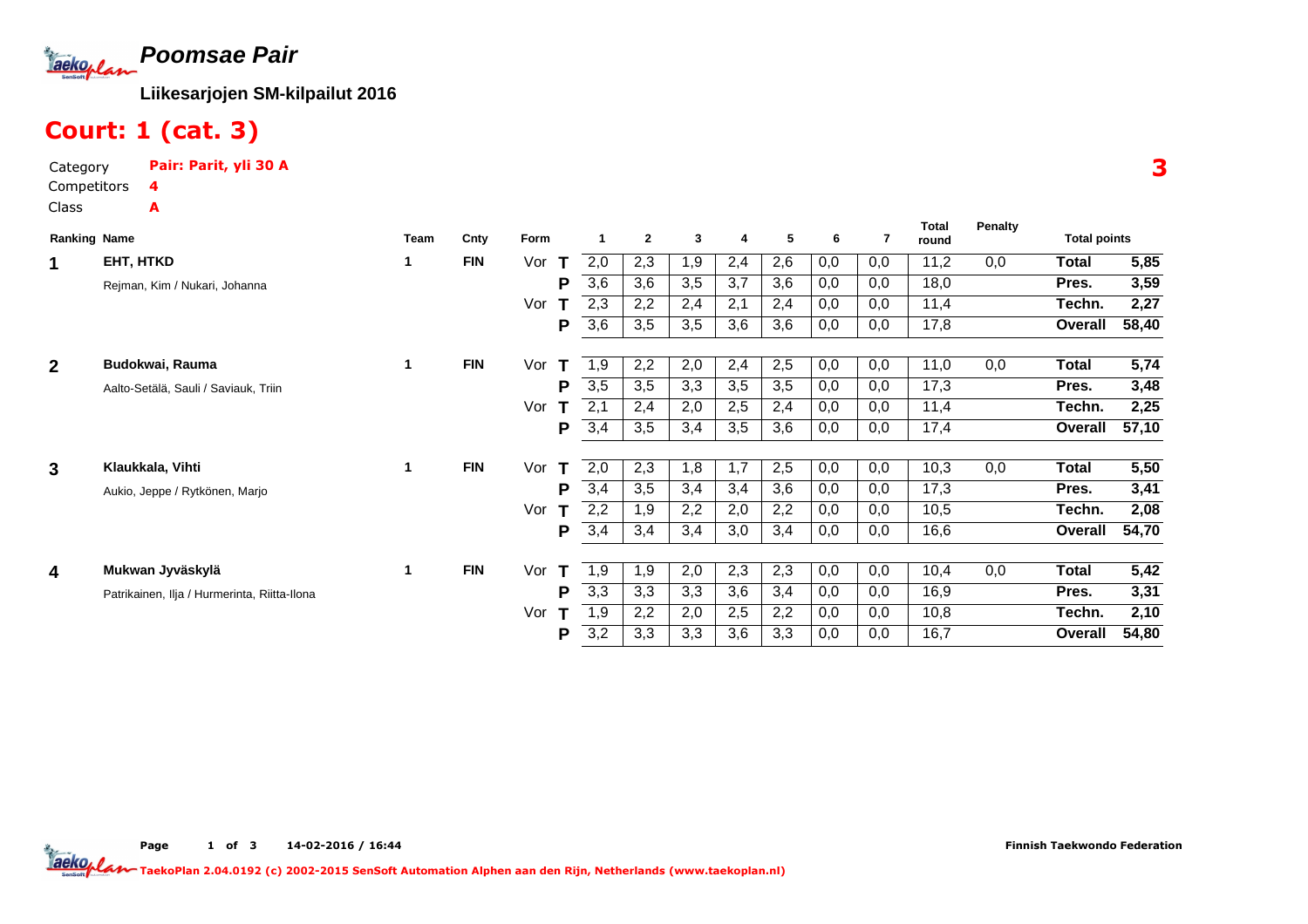

## Court: 1 (cat. 3)

| Category    | Pair: Parit, yli 30 A |
|-------------|-----------------------|
| Competitors |                       |
| Class       | А                     |

| <b>Ranking Name</b>     |                                              | <b>Team</b> | Cnty       | Form     |     | $\mathbf{2}$ | $\mathbf{3}$ | 4   | 5   | 6   | 7   | <b>Total</b><br>round | Penalty | <b>Total points</b> |       |
|-------------------------|----------------------------------------------|-------------|------------|----------|-----|--------------|--------------|-----|-----|-----|-----|-----------------------|---------|---------------------|-------|
| 1                       | EHT, HTKD                                    | 1           | <b>FIN</b> | Vor<br>т | 2,0 | 2,3          | 1,9          | 2,4 | 2,6 | 0,0 | 0,0 | 11,2                  | 0,0     | Total               | 5,85  |
|                         | Rejman, Kim / Nukari, Johanna                |             |            | P        | 3,6 | 3,6          | 3,5          | 3,7 | 3,6 | 0,0 | 0,0 | 18,0                  |         | Pres.               | 3,59  |
|                         |                                              |             |            | Vor      | 2,3 | 2,2          | 2,4          | 2,1 | 2,4 | 0,0 | 0,0 | 11,4                  |         | Techn.              | 2,27  |
|                         |                                              |             |            | P        | 3,6 | 3,5          | 3,5          | 3,6 | 3,6 | 0,0 | 0,0 | 17,8                  |         | Overall             | 58,40 |
| $\mathbf{2}$            | Budokwai, Rauma                              | 1           | <b>FIN</b> | Vor<br>т | 1,9 | 2,2          | 2,0          | 2,4 | 2,5 | 0,0 | 0,0 | 11,0                  | 0,0     | <b>Total</b>        | 5,74  |
|                         | Aalto-Setälä, Sauli / Saviauk, Triin         |             |            | P        | 3,5 | 3,5          | 3,3          | 3,5 | 3,5 | 0,0 | 0,0 | 17,3                  |         | Pres.               | 3,48  |
|                         |                                              |             |            | Vor      | 2,1 | 2,4          | 2,0          | 2,5 | 2,4 | 0,0 | 0,0 | 11,4                  |         | Techn.              | 2,25  |
|                         |                                              |             |            | P        | 3,4 | 3,5          | 3,4          | 3,5 | 3,6 | 0,0 | 0,0 | 17,4                  |         | Overall             | 57,10 |
| $\mathbf{3}$            | Klaukkala, Vihti                             | $\mathbf 1$ | <b>FIN</b> | Vor<br>т | 2,0 | 2,3          | 1,8          | 1,7 | 2,5 | 0,0 | 0,0 | 10,3                  | 0,0     | Total               | 5,50  |
|                         | Aukio, Jeppe / Rytkönen, Marjo               |             |            | P        | 3,4 | 3,5          | 3,4          | 3,4 | 3,6 | 0,0 | 0,0 | 17,3                  |         | Pres.               | 3,41  |
|                         |                                              |             |            | Vor      | 2,2 | 1,9          | 2,2          | 2,0 | 2,2 | 0,0 | 0,0 | 10,5                  |         | Techn.              | 2,08  |
|                         |                                              |             |            | P        | 3,4 | 3,4          | 3,4          | 3,0 | 3,4 | 0,0 | 0,0 | 16,6                  |         | Overall             | 54,70 |
|                         | Mukwan Jyväskylä                             | $\mathbf 1$ | <b>FIN</b> |          |     |              |              |     |     |     |     |                       |         |                     |       |
| $\overline{\mathbf{4}}$ |                                              |             |            | Vor<br>т | 1,9 | 1,9          | 2,0          | 2,3 | 2,3 | 0,0 | 0,0 | 10,4                  | 0,0     | Total               | 5,42  |
|                         | Patrikainen, Ilja / Hurmerinta, Riitta-Ilona |             |            | P        | 3,3 | 3,3          | 3,3          | 3,6 | 3,4 | 0,0 | 0,0 | 16,9                  |         | Pres.               | 3,31  |
|                         |                                              |             |            | Vor      | 1,9 | 2,2          | 2,0          | 2,5 | 2,2 | 0,0 | 0,0 | 10,8                  |         | Techn.              | 2,10  |
|                         |                                              |             |            | P        | 3,2 | 3,3          | 3,3          | 3,6 | 3,3 | 0,0 | 0,0 | 16,7                  |         | Overall             | 54,80 |

Page 1 of 3 14-02-2016 / 16:44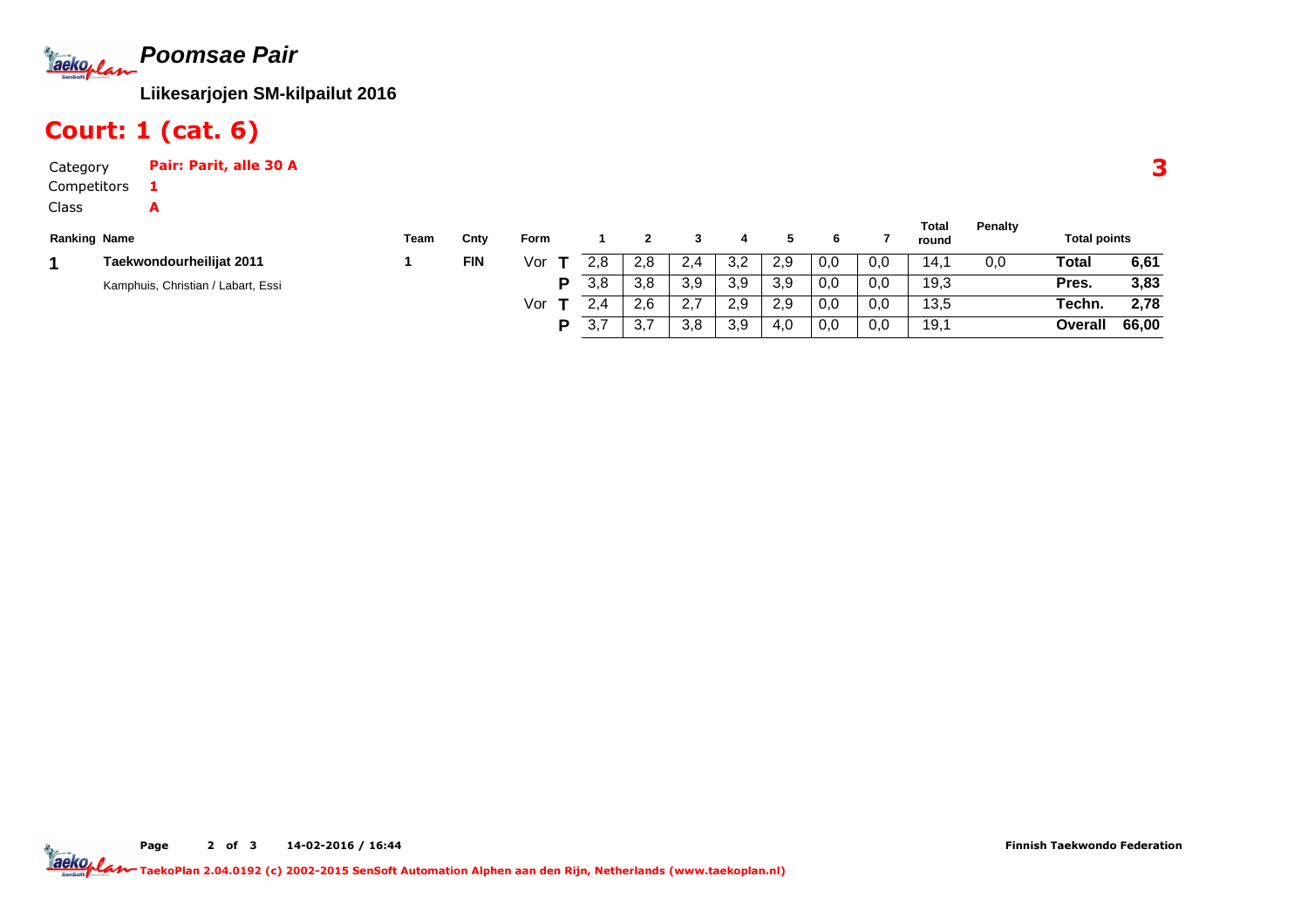

### Court: 1 (cat. 6)

Category Pair: Parit, alle 30 ACompetitorsClass1A

|                                    |      |            |      |           |                       |         |     |     |     |     | Total | <b>Penalty</b> |                     |       |
|------------------------------------|------|------------|------|-----------|-----------------------|---------|-----|-----|-----|-----|-------|----------------|---------------------|-------|
| <b>Ranking Name</b>                | Team | Cnty       | Form |           |                       |         |     |     |     |     | round |                | <b>Total points</b> |       |
| Taekwondourheilijat 2011           |      | <b>FIN</b> | Vor  | 2.8       | 2,8                   |         | 3,2 | 2.9 | 0,0 | 0,0 | 14.   | 0,0            | Total               | 6,61  |
| Kamphuis, Christian / Labart, Essi |      |            |      | 3.8       | 3,8                   | 3,9     | 3,9 | 3.9 | 0,0 | 0,0 | 19,3  |                | Pres.               | 3,83  |
|                                    |      |            | Vor  | 2 A       | 2.6                   | <u></u> | 2,9 | 2.9 | 0,0 | 0,0 | 13,5  |                | Techn.              | 2.78  |
|                                    |      |            |      | 27<br>3.1 | $\sim$ $\sim$<br>ູບ.≀ | 3,8     | 3,9 | 4,0 | 0,0 | 0,0 | 19,1  |                | Overall             | 66,00 |

Page 2 of 3 14-02-2016 / 16:44 TaekoPlan 2.04.0192 (c) 2002-2015 SenSoft Automation Alphen aan den Rijn, Netherlands (www.taekoplan.nl)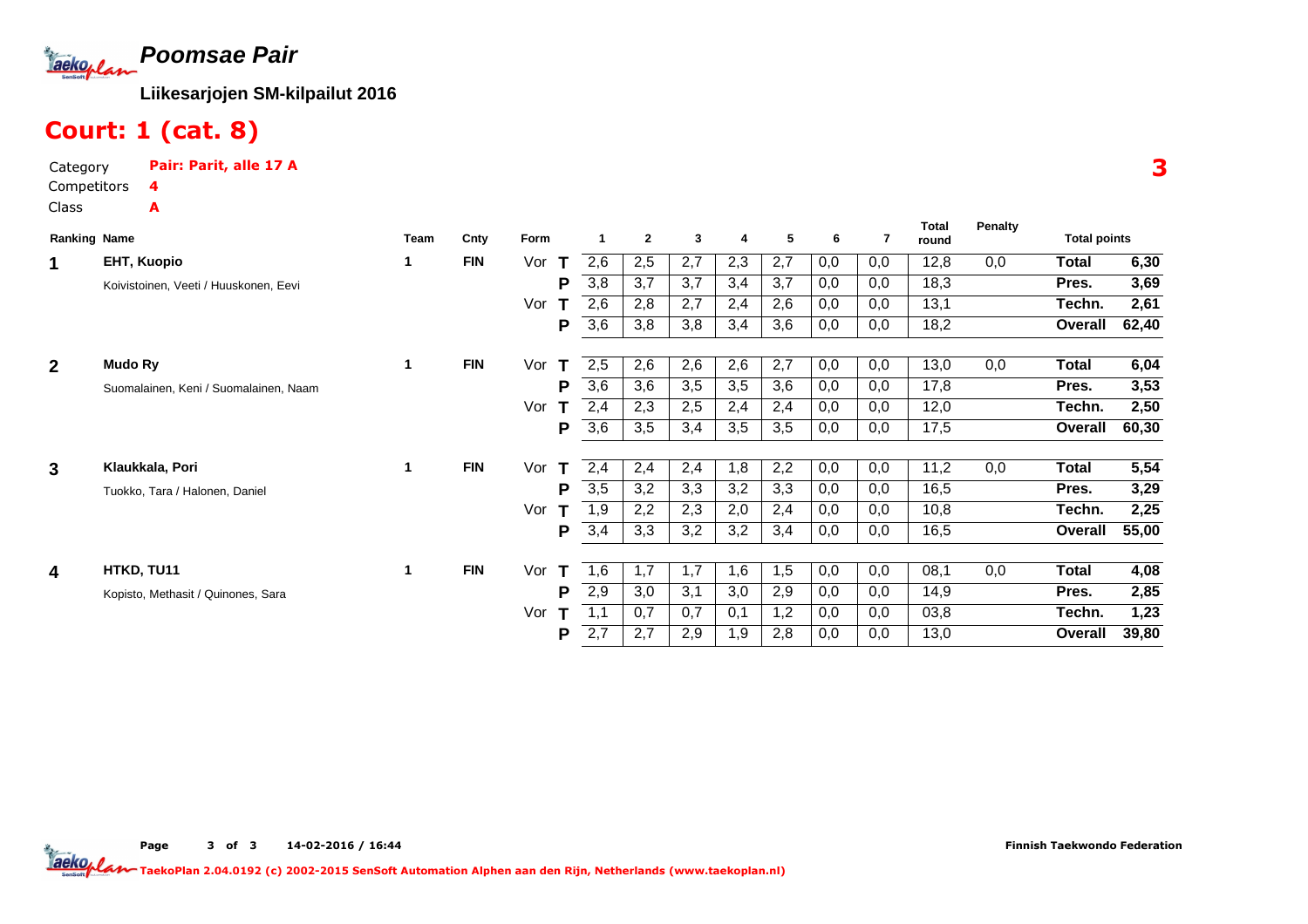

## Court: 1 (cat. 8)

| Category    | Pair: Parit, alle 17 A |
|-------------|------------------------|
| Competitors |                        |
| Class       | A                      |

| <b>Ranking Name</b>     |                                       | Team | Cnty       | Form |      | $\mathbf{2}$ | 3   | 4   | 5   | 6   | 7   | Total<br>round | Penalty | <b>Total points</b> |       |
|-------------------------|---------------------------------------|------|------------|------|------|--------------|-----|-----|-----|-----|-----|----------------|---------|---------------------|-------|
| 1                       | EHT, Kuopio                           |      | <b>FIN</b> | Vor  | 2,6  | 2,5          | 2,7 | 2,3 | 2,7 | 0,0 | 0,0 | 12,8           | 0,0     | Total               | 6,30  |
|                         | Koivistoinen, Veeti / Huuskonen, Eevi |      |            | P    | 3,8  | 3,7          | 3.7 | 3,4 | 3,7 | 0,0 | 0,0 | 18,3           |         | Pres.               | 3,69  |
|                         |                                       |      |            | Vor  | 2,6  | 2,8          | 2,7 | 2,4 | 2,6 | 0,0 | 0,0 | 13,1           |         | Techn.              | 2,61  |
|                         |                                       |      |            | P    | 3,6  | 3,8          | 3,8 | 3,4 | 3,6 | 0,0 | 0,0 | 18,2           |         | Overall             | 62,40 |
| $\overline{2}$          | Mudo Ry                               | 1    | <b>FIN</b> | Vor  | 2,5  | 2,6          | 2,6 | 2,6 | 2,7 | 0,0 | 0,0 | 13,0           | 0,0     | Total               | 6,04  |
|                         | Suomalainen, Keni / Suomalainen, Naam |      |            | P    | 3,6  | 3,6          | 3,5 | 3,5 | 3,6 | 0,0 | 0,0 | 17,8           |         | Pres.               | 3,53  |
|                         |                                       |      |            | Vor  | 2,4  | 2,3          | 2,5 | 2,4 | 2,4 | 0,0 | 0,0 | 12,0           |         | Techn.              | 2,50  |
|                         |                                       |      |            | P    | 3,6  | 3,5          | 3,4 | 3,5 | 3,5 | 0,0 | 0,0 | 17,5           |         | Overall             | 60,30 |
|                         |                                       |      |            |      |      |              |     |     |     |     |     |                |         |                     |       |
| 3                       | Klaukkala, Pori                       | 1    | <b>FIN</b> | Vor  | 2,4  | 2,4          | 2,4 | 1,8 | 2,2 | 0,0 | 0,0 | 11,2           | 0,0     | Total               | 5,54  |
|                         | Tuokko, Tara / Halonen, Daniel        |      |            | P    | 3,5  | 3,2          | 3,3 | 3,2 | 3,3 | 0,0 | 0,0 | 16,5           |         | Pres.               | 3,29  |
|                         |                                       |      |            | Vor  | 9, ا | 2,2          | 2,3 | 2,0 | 2,4 | 0,0 | 0,0 | 10,8           |         | Techn.              | 2,25  |
|                         |                                       |      |            | P    | 3,4  | 3,3          | 3,2 | 3,2 | 3,4 | 0,0 | 0,0 | 16,5           |         | Overall             | 55,00 |
| $\overline{\mathbf{4}}$ | HTKD, TU11                            | 1    | <b>FIN</b> | Vor  | 1,6  | 1,7          | 1,7 | 1,6 | 1,5 | 0,0 | 0,0 | 08,1           | 0,0     | Total               | 4,08  |
|                         |                                       |      |            |      |      |              |     |     |     |     |     |                |         |                     |       |
|                         | Kopisto, Methasit / Quinones, Sara    |      |            | P    | 2,9  | 3,0          | 3,1 | 3,0 | 2,9 | 0,0 | 0,0 | 14,9           |         | Pres.               | 2,85  |
|                         |                                       |      |            | Vor  |      | 0,7          | 0,7 | 0,1 | 1,2 | 0,0 | 0,0 | 03,8           |         | Techn.              | 1,23  |
|                         |                                       |      |            | P    | 2,7  | 2,7          | 2,9 | 1,9 | 2,8 | 0,0 | 0,0 | 13,0           |         | Overall             | 39,80 |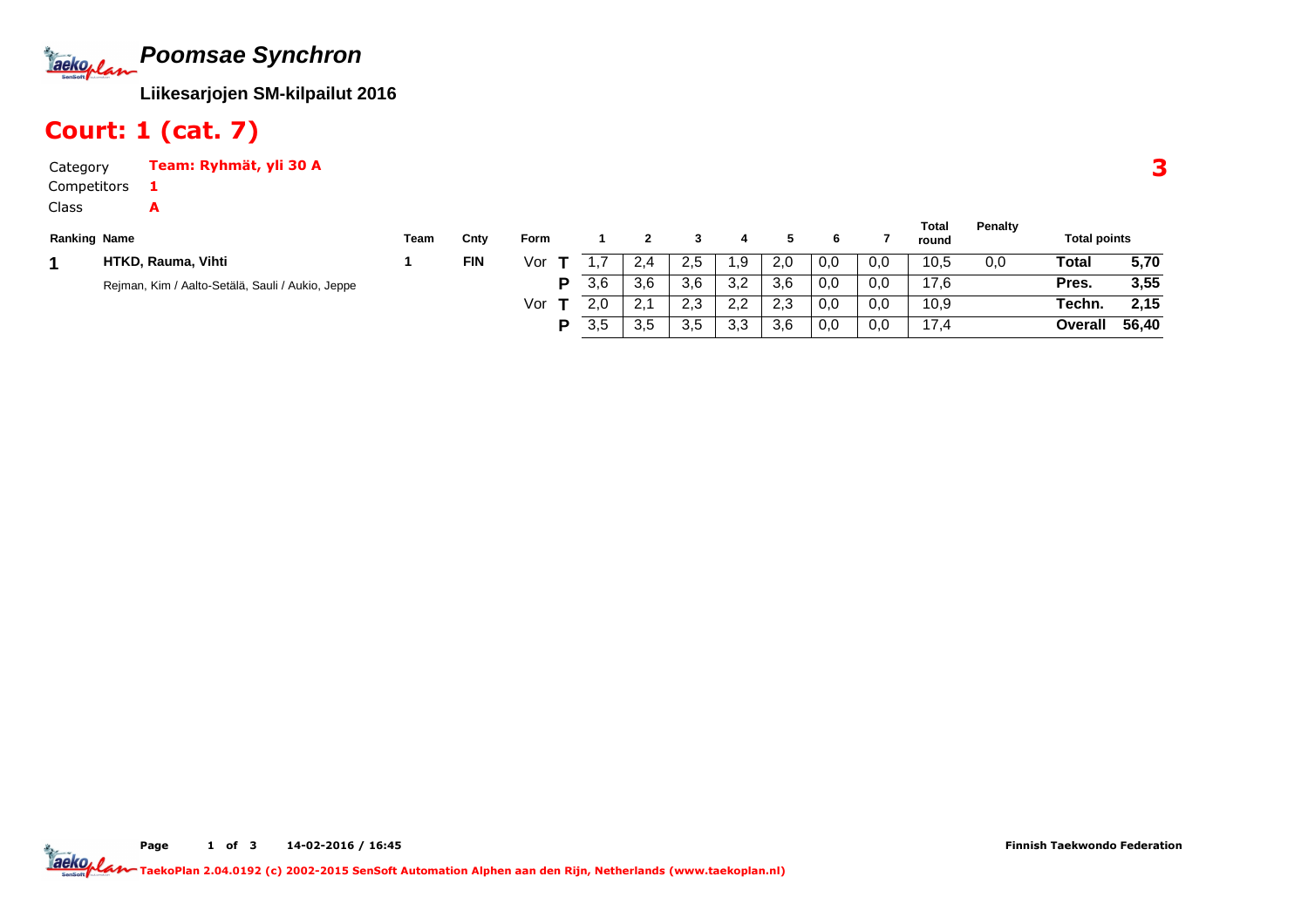

### Court: 1 (cat. 7)

A

Category Team: Ryhmät, yli 30 ACompetitors1

Class

|                     |                                                  |      |            |      |     |                  |     |     |     |     |     | Total | Penalty |                     |       |
|---------------------|--------------------------------------------------|------|------------|------|-----|------------------|-----|-----|-----|-----|-----|-------|---------|---------------------|-------|
| <b>Ranking Name</b> |                                                  | Team | Cnty       | Form |     |                  |     |     |     |     |     | round |         | <b>Total points</b> |       |
|                     | HTKD, Rauma, Vihti                               |      | <b>FIN</b> | Vor  |     | 2,4              | 2.5 | .9  | 2,0 | 0,0 | 0,0 | 10,5  | 0,0     | <b>Total</b>        | 5,70  |
|                     | Rejman, Kim / Aalto-Setälä, Sauli / Aukio, Jeppe |      |            | D    | 3,6 | 3,6              | 3,6 | 3,2 | 3,6 | 0,0 | 0,0 | 17,6  |         | Pres.               | 3,55  |
|                     |                                                  |      |            | Vor  | 2,0 | -2.1<br><u>.</u> | 2.3 | 2,2 | 2,3 | 0,0 | 0,0 | 10,9  |         | Techn.              | 2,15  |
|                     |                                                  |      |            | D    | 3,5 | 3,5              | 3.5 | 3,3 | 3.6 | 0,0 | 0,0 | 17,4  |         | Overall             | 56,40 |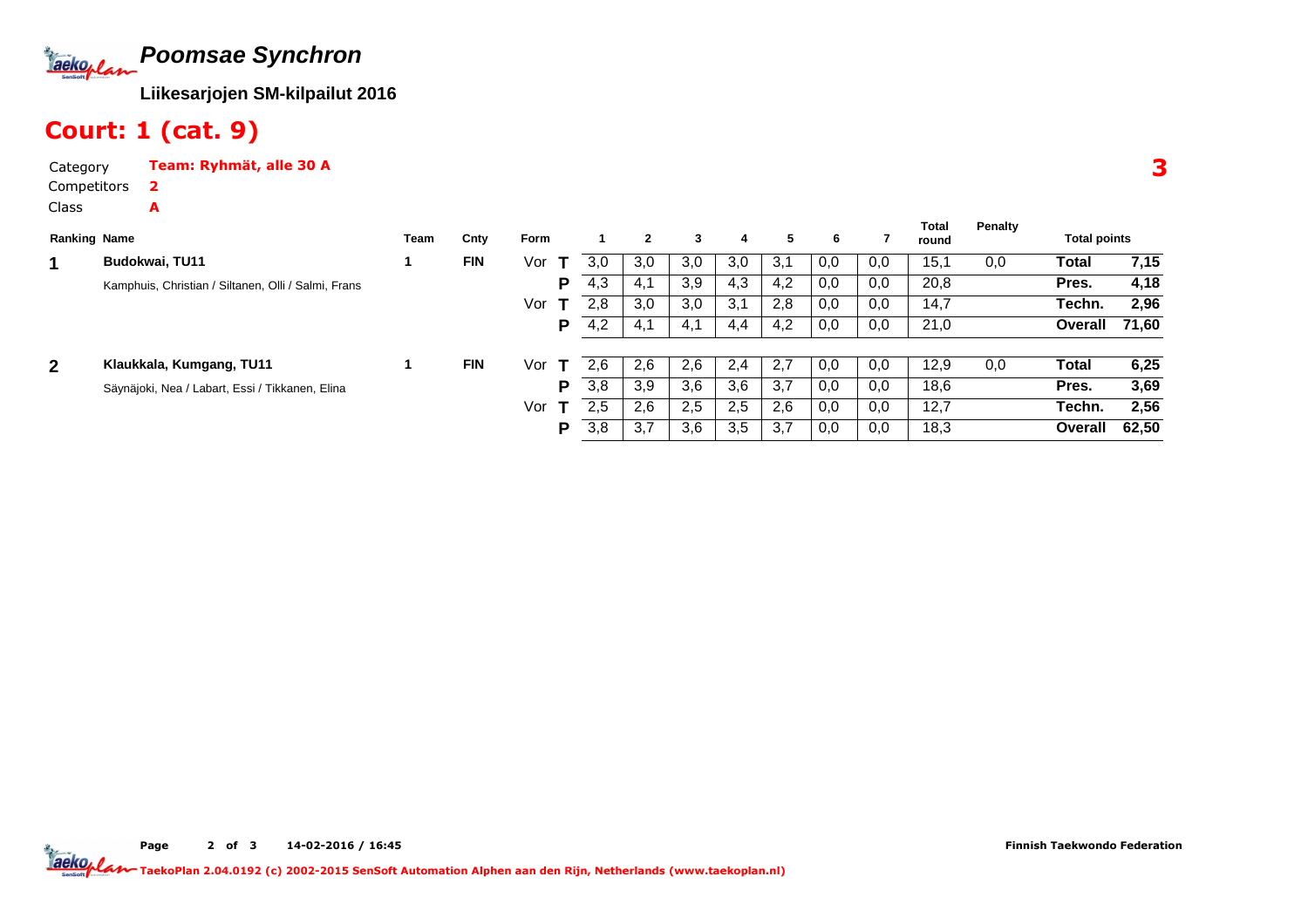

### Court: 1 (cat. 9)

A

Category Team: Ryhmät, alle 30 ACompetitors2

Class

|                     |                                                     |      |            | <b>Form</b> |     |     | 3   |     |     |     |     | Total | Penalty | <b>Total points</b> |       |
|---------------------|-----------------------------------------------------|------|------------|-------------|-----|-----|-----|-----|-----|-----|-----|-------|---------|---------------------|-------|
| <b>Ranking Name</b> |                                                     | Team | Cnty       |             |     |     |     | 4   | 5   | 6   |     | round |         |                     |       |
| 1                   | Budokwai, TU11                                      |      | <b>FIN</b> | Vor         | 3,0 | 3,0 | 3,0 | 3,0 | 3,1 | 0,0 | 0,0 | 15,1  | 0,0     | Total               | 7,15  |
|                     | Kamphuis, Christian / Siltanen, Olli / Salmi, Frans |      |            | Р           | 4,3 | 4,1 | 3,9 | 4,3 | 4,2 | 0,0 | 0,0 | 20,8  |         | Pres.               | 4,18  |
|                     |                                                     |      |            | Vor         | 2,8 | 3,0 | 3,0 | 3,1 | 2,8 | 0,0 | 0,0 | 14,7  |         | Techn.              | 2,96  |
|                     |                                                     |      |            | Р           | 4.2 | 4.1 | 4,1 | 4,4 | 4,2 | 0,0 | 0,0 | 21,0  |         | Overall             | 71.60 |
|                     |                                                     |      |            |             |     |     |     |     |     |     |     |       |         |                     |       |
| $\mathbf{2}$        | Klaukkala, Kumgang, TU11                            |      | <b>FIN</b> | Vor         | 2.6 | 2,6 | 2,6 | 2,4 | 2,7 | 0,0 | 0,0 | 12,9  | 0,0     | Total               | 6,25  |
|                     | Säynäjoki, Nea / Labart, Essi / Tikkanen, Elina     |      |            | Р           | 3,8 | 3,9 | 3,6 | 3,6 | 3,7 | 0,0 | 0,0 | 18,6  |         | Pres.               | 3,69  |
|                     |                                                     |      |            | Vor         | 2.5 | 2,6 | 2,5 | 2,5 | 2,6 | 0,0 | 0,0 | 12,7  |         | Techn.              | 2,56  |
|                     |                                                     |      |            | P           | 3,8 | 3,7 | 3,6 | 3,5 | 3,7 | 0,0 | 0,0 | 18,3  |         | Overall             | 62,50 |

Page 2 of 3 14-02-2016 / 16:45 TaekoPlan 2.04.0192 (c) 2002-2015 SenSoft Automation Alphen aan den Rijn, Netherlands (www.taekoplan.nl)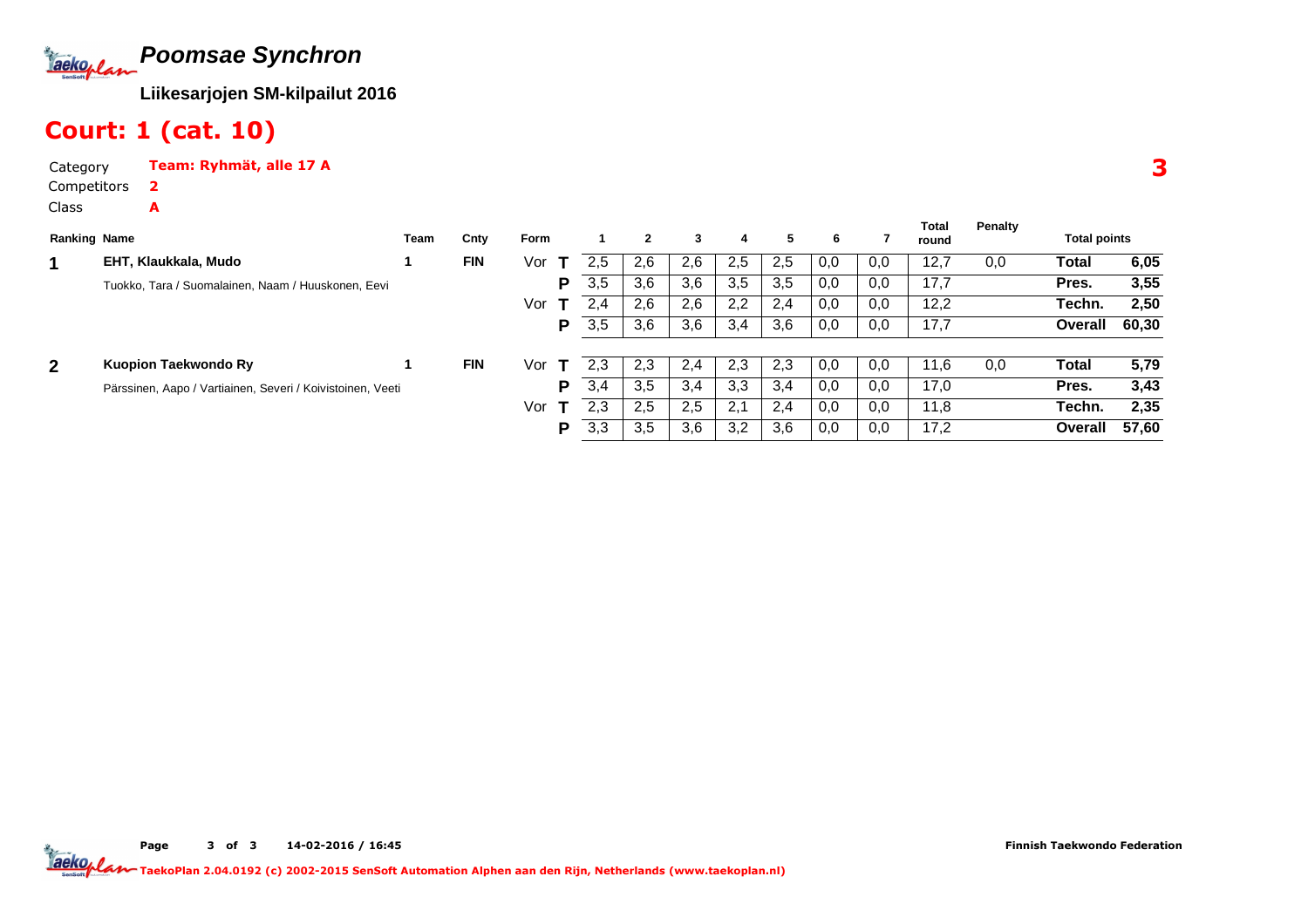

### Court: 1 (cat. 10)

A

Category Team: Ryhmät, alle 17 A2

Competitors

Class

| <b>Ranking Name</b> |                                                            | Team | Cnty       | Form |     |     | 3   | 4   | 5   | 6   |     | Total<br>round | <b>Penalty</b> | <b>Total points</b> |       |
|---------------------|------------------------------------------------------------|------|------------|------|-----|-----|-----|-----|-----|-----|-----|----------------|----------------|---------------------|-------|
|                     | EHT, Klaukkala, Mudo                                       |      | <b>FIN</b> | Vor  | 2.5 | 2,6 | 2.6 | 2.5 | 2.5 | 0,0 | 0,0 | 12,7           | 0,0            | Total               | 6,05  |
|                     | Tuokko, Tara / Suomalainen, Naam / Huuskonen, Eevi         |      |            | Р    | 3,5 | 3,6 | 3,6 | 3,5 | 3,5 | 0,0 | 0,0 | 17,7           |                | Pres.               | 3,55  |
|                     |                                                            |      |            | Vor  | 2.4 | 2,6 | 2,6 | 2,2 | 2,4 | 0,0 | 0,0 | 12,2           |                | Techn.              | 2,50  |
|                     |                                                            |      |            | P    | 3,5 | 3,6 | 3,6 | 3,4 | 3,6 | 0,0 | 0,0 | 17,7           |                | Overall             | 60,30 |
| $\mathbf{2}$        | Kuopion Taekwondo Ry                                       |      | <b>FIN</b> | Vor  | 2.3 | 2,3 | 2.4 | 2,3 | 2,3 | 0,0 | 0,0 | 11,6           | 0,0            | Total               | 5,79  |
|                     | Pärssinen, Aapo / Vartiainen, Severi / Koivistoinen, Veeti |      |            | Р    | 3,4 | 3,5 | 3,4 | 3,3 | 3,4 | 0,0 | 0,0 | 17,0           |                | Pres.               | 3,43  |
|                     |                                                            |      |            | Vor  | 2.3 | 2,5 | 2,5 | 2,1 | 2.4 | 0,0 | 0,0 | 11,8           |                | Techn.              | 2,35  |
|                     |                                                            |      |            | Р    | 3,3 | 3,5 | 3,6 | 3,2 | 3,6 | 0,0 | 0,0 | 17,2           |                | Overall             | 57,60 |

3

Page 3 of 3 14-02-2016 / 16:45